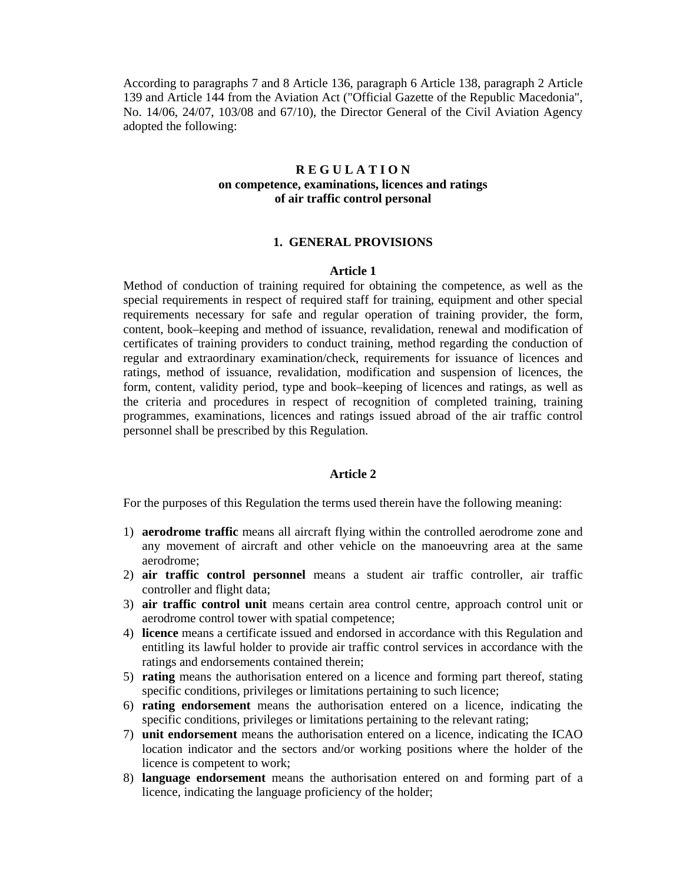According to paragraphs 7 and 8 Article 136, paragraph 6 Article 138, paragraph 2 Article 139 and Article 144 from the Aviation Act ("Official Gazette of the Republic Macedonia", No. 14/06, 24/07, 103/08 and 67/10), the Director General of the Civil Aviation Agency adopted the following:

# **R E G U L A T I O N on competence, examinations, licences and ratings of air traffic control personal**

#### **1. GENERAL PROVISIONS**

#### **Article 1**

Method of conduction of training required for obtaining the competence, as well as the special requirements in respect of required staff for training, equipment and other special requirements necessary for safe and regular operation of training provider, the form, content, book–keeping and method of issuance, revalidation, renewal and modification of certificates of training providers to conduct training, method regarding the conduction of regular and extraordinary examination/check, requirements for issuance of licences and ratings, method of issuance, revalidation, modification and suspension of licences, the form, content, validity period, type and book–keeping of licences and ratings, as well as the criteria and procedures in respect of recognition of completed training, training programmes, examinations, licences and ratings issued abroad of the air traffic control personnel shall be prescribed by this Regulation.

## **Article 2**

For the purposes of this Regulation the terms used therein have the following meaning:

- 1) **aerodrome traffic** means all aircraft flying within the controlled aerodrome zone and any movement of aircraft and other vehicle on the manoeuvring area at the same aerodrome;
- 2) **air traffic control personnel** means a student air traffic controller, air traffic controller and flight data;
- 3) **air traffic control unit** means certain area control centre, approach control unit or aerodrome control tower with spatial competence;
- 4) **licence** means a certificate issued and endorsed in accordance with this Regulation and entitling its lawful holder to provide air traffic control services in accordance with the ratings and endorsements contained therein;
- 5) **rating** means the authorisation entered on a licence and forming part thereof, stating specific conditions, privileges or limitations pertaining to such licence;
- 6) **rating endorsement** means the authorisation entered on a licence, indicating the specific conditions, privileges or limitations pertaining to the relevant rating;
- 7) **unit endorsement** means the authorisation entered on a licence, indicating the ICAO location indicator and the sectors and/or working positions where the holder of the licence is competent to work;
- 8) **language endorsement** means the authorisation entered on and forming part of a licence, indicating the language proficiency of the holder;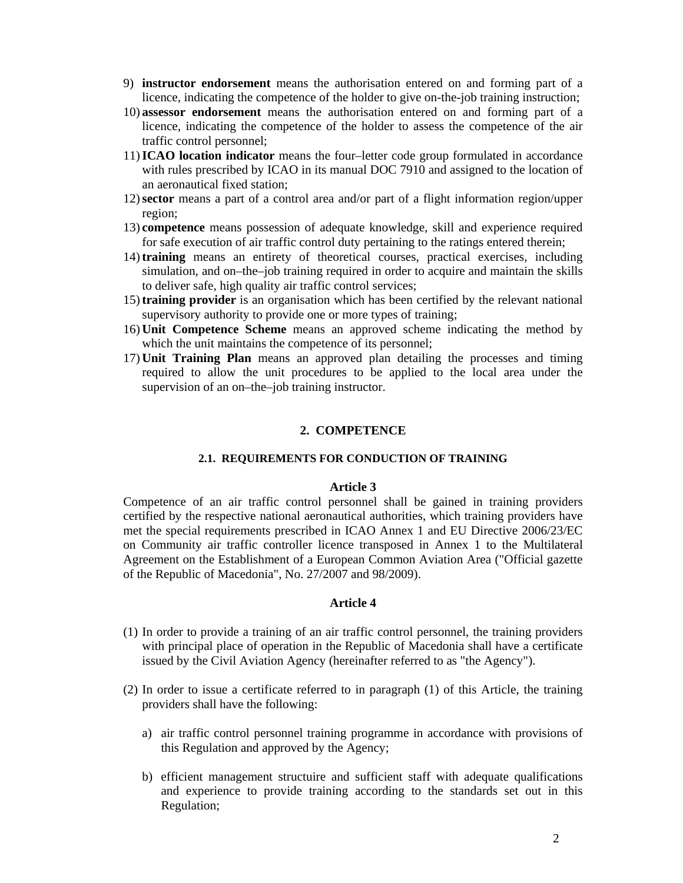- 9) **instructor endorsement** means the authorisation entered on and forming part of a licence, indicating the competence of the holder to give on-the-job training instruction;
- 10) **assessor endorsement** means the authorisation entered on and forming part of a licence, indicating the competence of the holder to assess the competence of the air traffic control personnel;
- 11) **ICAO location indicator** means the four–letter code group formulated in accordance with rules prescribed by ICAO in its manual DOC 7910 and assigned to the location of an aeronautical fixed station;
- 12) **sector** means a part of a control area and/or part of a flight information region/upper region;
- 13) **competence** means possession of adequate knowledge, skill and experience required for safe execution of air traffic control duty pertaining to the ratings entered therein;
- 14) **training** means an entirety of theoretical courses, practical exercises, including simulation, and on–the–job training required in order to acquire and maintain the skills to deliver safe, high quality air traffic control services;
- 15) **training provider** is an organisation which has been certified by the relevant national supervisory authority to provide one or more types of training;
- 16) **Unit Competence Scheme** means an approved scheme indicating the method by which the unit maintains the competence of its personnel;
- 17) **Unit Training Plan** means an approved plan detailing the processes and timing required to allow the unit procedures to be applied to the local area under the supervision of an on–the–job training instructor.

# **2. COMPETENCE**

### **2.1. REQUIREMENTS FOR CONDUCTION OF TRAINING**

### **Article 3**

Competence of an air traffic control personnel shall be gained in training providers certified by the respective national aeronautical authorities, which training providers have met the special requirements prescribed in ICAO Annex 1 and EU Directive 2006/23/EC on Community air traffic controller licence transposed in Annex 1 to the Multilateral Agreement on the Establishment of a European Common Aviation Area ("Official gazette of the Republic of Macedonia", No. 27/2007 and 98/2009).

- (1) In order to provide a training of an air traffic control personnel, the training providers with principal place of operation in the Republic of Macedonia shall have a certificate issued by the Civil Aviation Agency (hereinafter referred to as "the Agency").
- (2) In order to issue a certificate referred to in paragraph (1) of this Article, the training providers shall have the following:
	- a) air traffic control personnel training programme in accordance with provisions of this Regulation and approved by the Agency;
	- b) efficient management structuire and sufficient staff with adequate qualifications and experience to provide training according to the standards set out in this Regulation;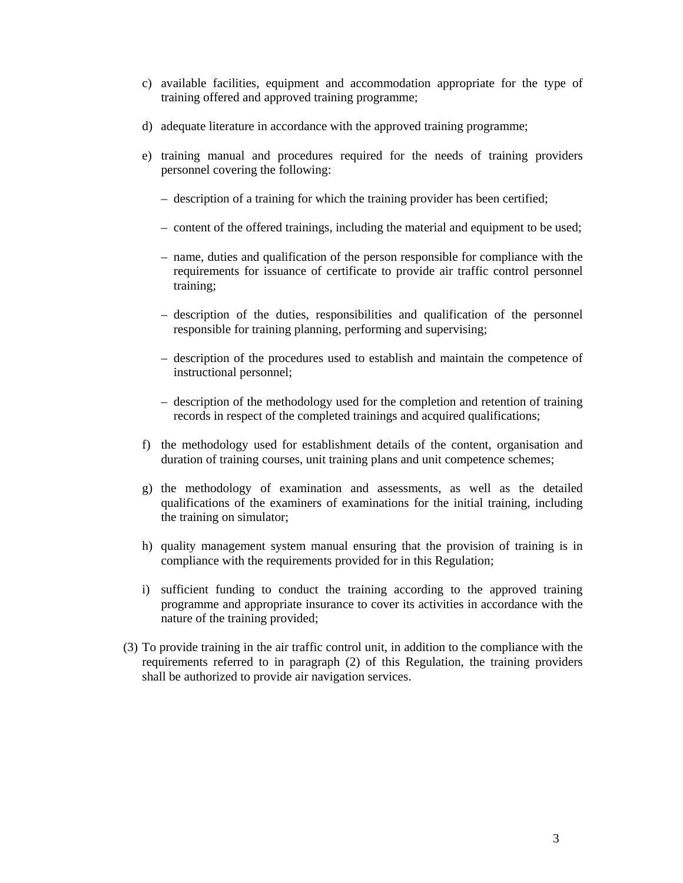- c) available facilities, equipment and accommodation appropriate for the type of training offered and approved training programme;
- d) adequate literature in accordance with the approved training programme;
- e) training manual and procedures required for the needs of training providers personnel covering the following:
	- description of a training for which the training provider has been certified;
	- content of the offered trainings, including the material and equipment to be used;
	- name, duties and qualification of the person responsible for compliance with the requirements for issuance of certificate to provide air traffic control personnel training;
	- description of the duties, responsibilities and qualification of the personnel responsible for training planning, performing and supervising;
	- description of the procedures used to establish and maintain the competence of instructional personnel;
	- description of the methodology used for the completion and retention of training records in respect of the completed trainings and acquired qualifications;
- f) the methodology used for establishment details of the content, organisation and duration of training courses, unit training plans and unit competence schemes;
- g) the methodology of examination and assessments, as well as the detailed qualifications of the examiners of examinations for the initial training, including the training on simulator;
- h) quality management system manual ensuring that the provision of training is in compliance with the requirements provided for in this Regulation;
- i) sufficient funding to conduct the training according to the approved training programme and appropriate insurance to cover its activities in accordance with the nature of the training provided;
- (3) To provide training in the air traffic control unit, in addition to the compliance with the requirements referred to in paragraph (2) of this Regulation, the training providers shall be authorized to provide air navigation services.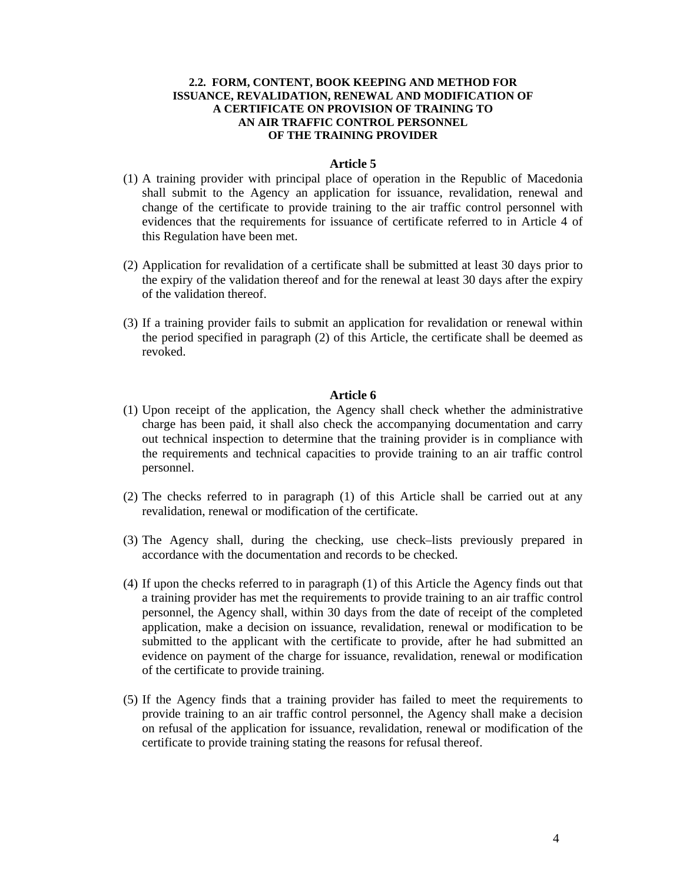## **2.2. FORM, CONTENT, BOOK KEEPING AND METHOD FOR ISSUANCE, REVALIDATION, RENEWAL AND MODIFICATION OF A CERTIFICATE ON PROVISION OF TRAINING TO AN AIR TRAFFIC CONTROL PERSONNEL OF THE TRAINING PROVIDER**

#### **Article 5**

- (1) A training provider with principal place of operation in the Republic of Macedonia shall submit to the Agency an application for issuance, revalidation, renewal and change of the certificate to provide training to the air traffic control personnel with evidences that the requirements for issuance of certificate referred to in Article 4 of this Regulation have been met.
- (2) Application for revalidation of a certificate shall be submitted at least 30 days prior to the expiry of the validation thereof and for the renewal at least 30 days after the expiry of the validation thereof.
- (3) If a training provider fails to submit an application for revalidation or renewal within the period specified in paragraph (2) of this Article, the certificate shall be deemed as revoked.

- (1) Upon receipt of the application, the Agency shall check whether the administrative charge has been paid, it shall also check the accompanying documentation and carry out technical inspection to determine that the training provider is in compliance with the requirements and technical capacities to provide training to an air traffic control personnel.
- (2) The checks referred to in paragraph (1) of this Article shall be carried out at any revalidation, renewal or modification of the certificate.
- (3) The Agency shall, during the checking, use check–lists previously prepared in accordance with the documentation and records to be checked.
- (4) If upon the checks referred to in paragraph (1) of this Article the Agency finds out that a training provider has met the requirements to provide training to an air traffic control personnel, the Agency shall, within 30 days from the date of receipt of the completed application, make a decision on issuance, revalidation, renewal or modification to be submitted to the applicant with the certificate to provide, after he had submitted an evidence on payment of the charge for issuance, revalidation, renewal or modification of the certificate to provide training.
- (5) If the Agency finds that a training provider has failed to meet the requirements to provide training to an air traffic control personnel, the Agency shall make a decision on refusal of the application for issuance, revalidation, renewal or modification of the certificate to provide training stating the reasons for refusal thereof.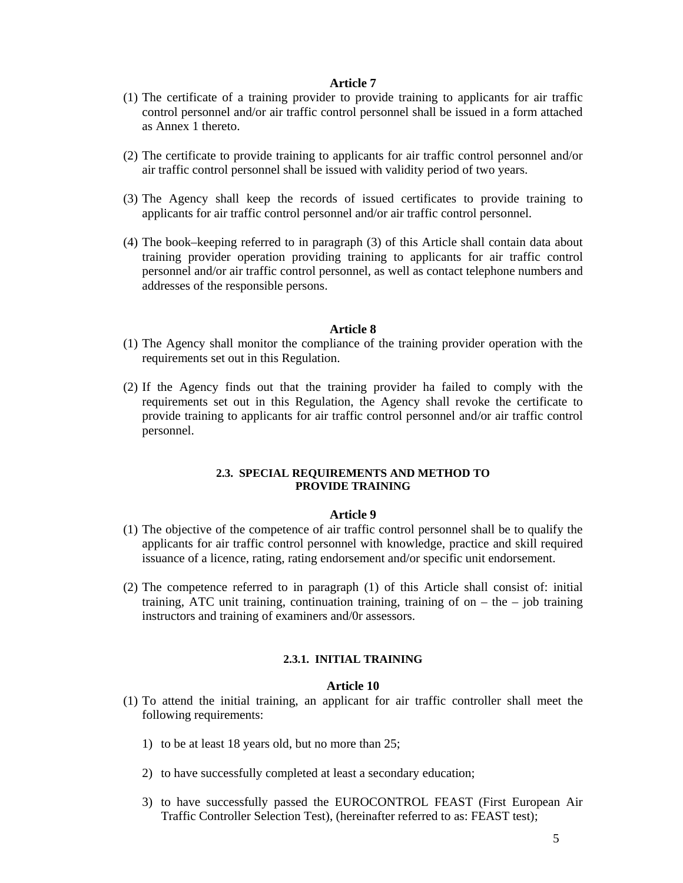- (1) The certificate of a training provider to provide training to applicants for air traffic control personnel and/or air traffic control personnel shall be issued in a form attached as Annex 1 thereto.
- (2) The certificate to provide training to applicants for air traffic control personnel and/or air traffic control personnel shall be issued with validity period of two years.
- (3) The Agency shall keep the records of issued certificates to provide training to applicants for air traffic control personnel and/or air traffic control personnel.
- (4) The book–keeping referred to in paragraph (3) of this Article shall contain data about training provider operation providing training to applicants for air traffic control personnel and/or air traffic control personnel, as well as contact telephone numbers and addresses of the responsible persons.

#### **Article 8**

- (1) The Agency shall monitor the compliance of the training provider operation with the requirements set out in this Regulation.
- (2) If the Agency finds out that the training provider ha failed to comply with the requirements set out in this Regulation, the Agency shall revoke the certificate to provide training to applicants for air traffic control personnel and/or air traffic control personnel.

#### **2.3. SPECIAL REQUIREMENTS AND METHOD TO PROVIDE TRAINING**

#### **Article 9**

- (1) The objective of the competence of air traffic control personnel shall be to qualify the applicants for air traffic control personnel with knowledge, practice and skill required issuance of a licence, rating, rating endorsement and/or specific unit endorsement.
- (2) The competence referred to in paragraph (1) of this Article shall consist of: initial training, ATC unit training, continuation training, training of on  $-$  the  $-$  job training instructors and training of examiners and/0r assessors.

#### **2.3.1. INITIAL TRAINING**

- (1) To attend the initial training, an applicant for air traffic controller shall meet the following requirements:
	- 1) to be at least 18 years old, but no more than 25;
	- 2) to have successfully completed at least a secondary education;
	- 3) to have successfully passed the EUROCONTROL FEAST (First European Air Traffic Controller Selection Test), (hereinafter referred to as: FEAST test);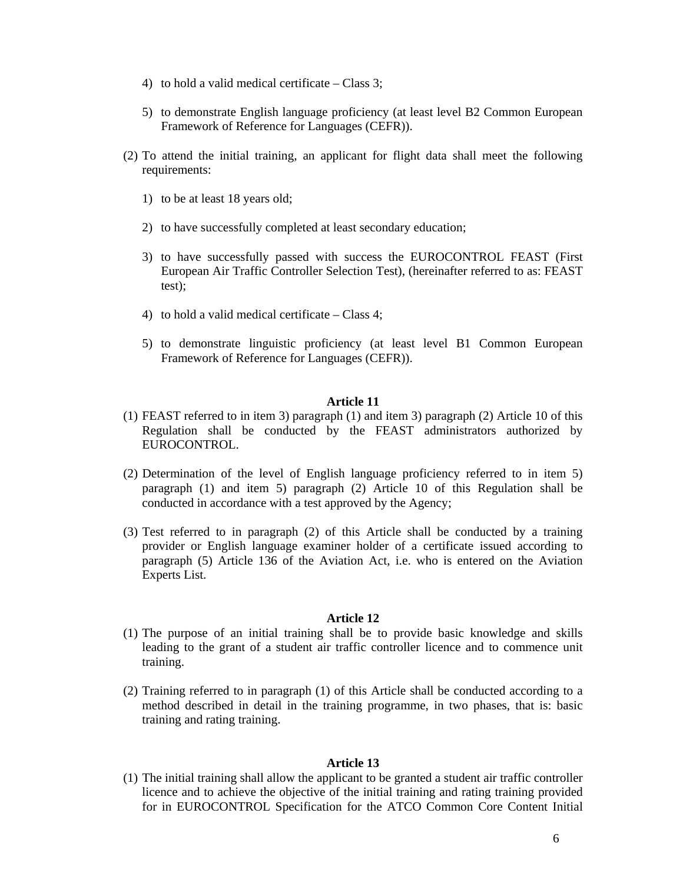- 4) to hold a valid medical certificate Class 3;
- 5) to demonstrate English language proficiency (at least level B2 Common European Framework of Reference for Languages (CEFR)).
- (2) To attend the initial training, an applicant for flight data shall meet the following requirements:
	- 1) to be at least 18 years old;
	- 2) to have successfully completed at least secondary education;
	- 3) to have successfully passed with success the EUROCONTROL FEAST (First European Air Traffic Controller Selection Test), (hereinafter referred to as: FEAST test);
	- 4) to hold a valid medical certificate Class 4;
	- 5) to demonstrate linguistic proficiency (at least level B1 Common European Framework of Reference for Languages (CEFR)).

- (1) FEAST referred to in item 3) paragraph (1) and item 3) paragraph (2) Article 10 of this Regulation shall be conducted by the FEAST administrators authorized by EUROCONTROL.
- (2) Determination of the level of English language proficiency referred to in item 5) paragraph (1) and item 5) paragraph (2) Article 10 of this Regulation shall be conducted in accordance with a test approved by the Agency;
- (3) Test referred to in paragraph (2) of this Article shall be conducted by a training provider or English language examiner holder of a certificate issued according to paragraph (5) Article 136 of the Aviation Act, i.e. who is entered on the Aviation Experts List.

### **Article 12**

- (1) The purpose of an initial training shall be to provide basic knowledge and skills leading to the grant of a student air traffic controller licence and to commence unit training.
- (2) Training referred to in paragraph (1) of this Article shall be conducted according to a method described in detail in the training programme, in two phases, that is: basic training and rating training.

#### **Article 13**

(1) The initial training shall allow the applicant to be granted a student air traffic controller licence and to achieve the objective of the initial training and rating training provided for in EUROCONTROL Specification for the ATCO Common Core Content Initial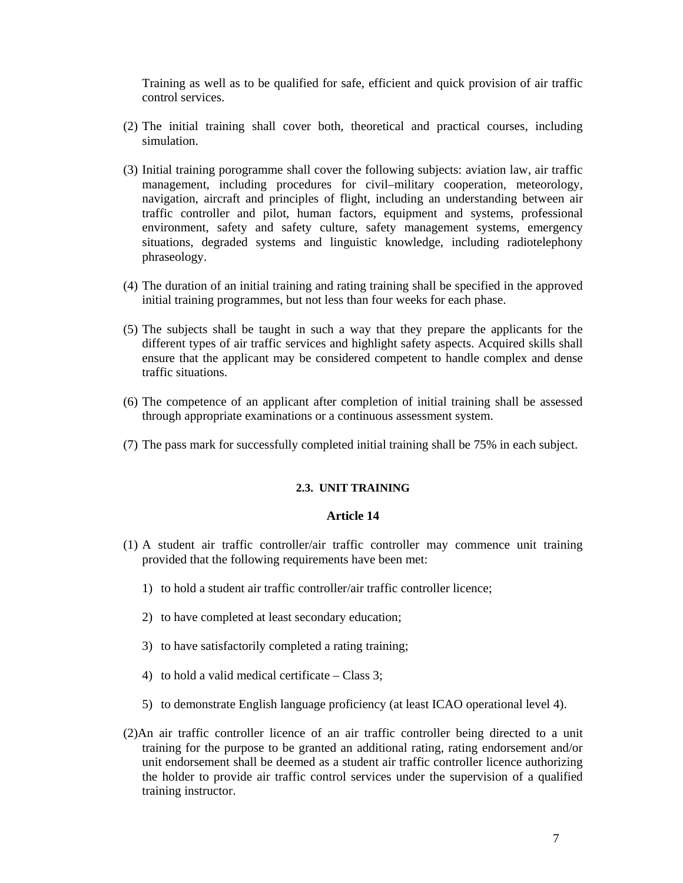Training as well as to be qualified for safe, efficient and quick provision of air traffic control services.

- (2) The initial training shall cover both, theoretical and practical courses, including simulation.
- (3) Initial training porogramme shall cover the following subjects: aviation law, air traffic management, including procedures for civil–military cooperation, meteorology, navigation, aircraft and principles of flight, including an understanding between air traffic controller and pilot, human factors, equipment and systems, professional environment, safety and safety culture, safety management systems, emergency situations, degraded systems and linguistic knowledge, including radiotelephony phraseology.
- (4) The duration of an initial training and rating training shall be specified in the approved initial training programmes, but not less than four weeks for each phase.
- (5) The subjects shall be taught in such a way that they prepare the applicants for the different types of air traffic services and highlight safety aspects. Acquired skills shall ensure that the applicant may be considered competent to handle complex and dense traffic situations.
- (6) The competence of an applicant after completion of initial training shall be assessed through appropriate examinations or a continuous assessment system.
- (7) The pass mark for successfully completed initial training shall be 75% in each subject.

# **2.3. UNIT TRAINING**

- (1) A student air traffic controller/air traffic controller may commence unit training provided that the following requirements have been met:
	- 1) to hold a student air traffic controller/air traffic controller licence;
	- 2) to have completed at least secondary education;
	- 3) to have satisfactorily completed a rating training;
	- 4) to hold a valid medical certificate Class 3;
	- 5) to demonstrate English language proficiency (at least ICAO operational level 4).
- (2)An air traffic controller licence of an air traffic controller being directed to a unit training for the purpose to be granted an additional rating, rating endorsement and/or unit endorsement shall be deemed as a student air traffic controller licence authorizing the holder to provide air traffic control services under the supervision of a qualified training instructor.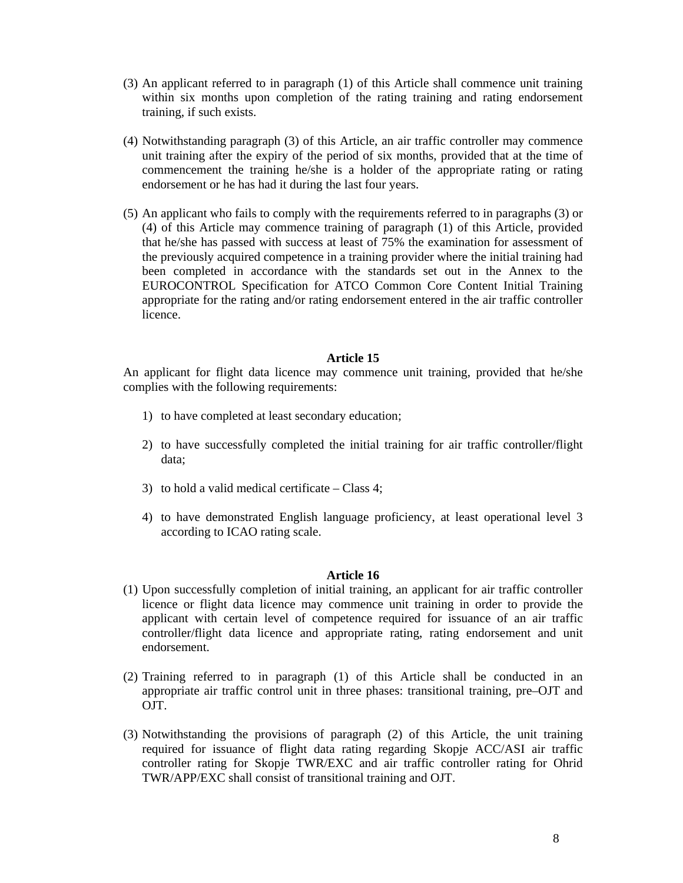- (3) An applicant referred to in paragraph (1) of this Article shall commence unit training within six months upon completion of the rating training and rating endorsement training, if such exists.
- (4) Notwithstanding paragraph (3) of this Article, an air traffic controller may commence unit training after the expiry of the period of six months, provided that at the time of commencement the training he/she is a holder of the appropriate rating or rating endorsement or he has had it during the last four years.
- (5) An applicant who fails to comply with the requirements referred to in paragraphs (3) or (4) of this Article may commence training of paragraph (1) of this Article, provided that he/she has passed with success at least of 75% the examination for assessment of the previously acquired competence in a training provider where the initial training had been completed in accordance with the standards set out in the Annex to the EUROCONTROL Specification for ATCO Common Core Content Initial Training appropriate for the rating and/or rating endorsement entered in the air traffic controller licence.

An applicant for flight data licence may commence unit training, provided that he/she complies with the following requirements:

- 1) to have completed at least secondary education;
- 2) to have successfully completed the initial training for air traffic controller/flight data;
- 3) to hold a valid medical certificate Class 4;
- 4) to have demonstrated English language proficiency, at least operational level 3 according to ICAO rating scale.

- (1) Upon successfully completion of initial training, an applicant for air traffic controller licence or flight data licence may commence unit training in order to provide the applicant with certain level of competence required for issuance of an air traffic controller/flight data licence and appropriate rating, rating endorsement and unit endorsement.
- (2) Training referred to in paragraph (1) of this Article shall be conducted in an appropriate air traffic control unit in three phases: transitional training, pre–OJT and OJT.
- (3) Notwithstanding the provisions of paragraph (2) of this Article, the unit training required for issuance of flight data rating regarding Skopje ACC/ASI air traffic controller rating for Skopje TWR/EXC and air traffic controller rating for Ohrid TWR/APP/EXC shall consist of transitional training and OJT.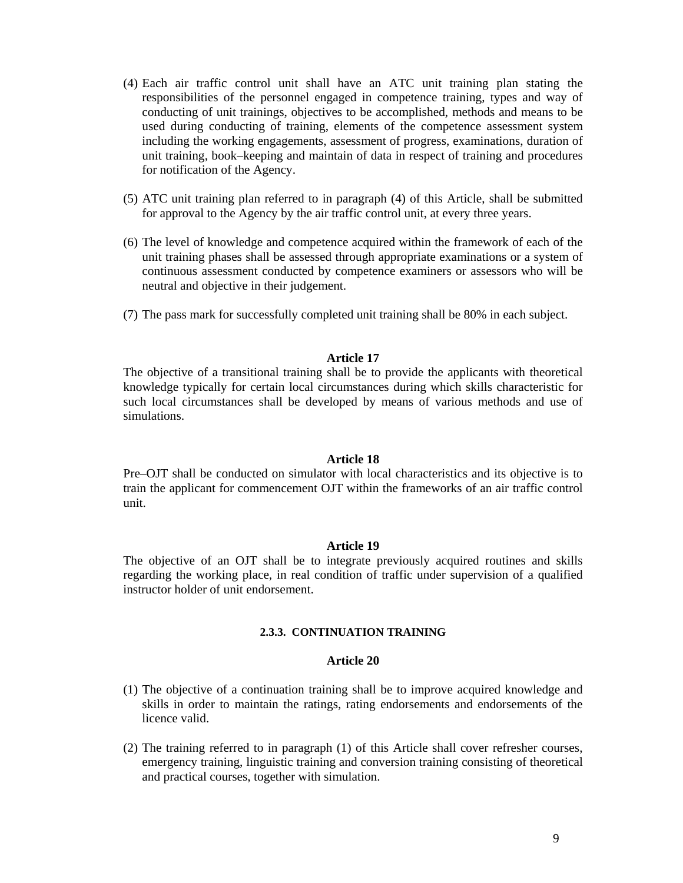- (4) Each air traffic control unit shall have an ATC unit training plan stating the responsibilities of the personnel engaged in competence training, types and way of conducting of unit trainings, objectives to be accomplished, methods and means to be used during conducting of training, elements of the competence assessment system including the working engagements, assessment of progress, examinations, duration of unit training, book–keeping and maintain of data in respect of training and procedures for notification of the Agency.
- (5) ATC unit training plan referred to in paragraph (4) of this Article, shall be submitted for approval to the Agency by the air traffic control unit, at every three years.
- (6) The level of knowledge and competence acquired within the framework of each of the unit training phases shall be assessed through appropriate examinations or a system of continuous assessment conducted by competence examiners or assessors who will be neutral and objective in their judgement.
- (7) The pass mark for successfully completed unit training shall be 80% in each subject.

The objective of a transitional training shall be to provide the applicants with theoretical knowledge typically for certain local circumstances during which skills characteristic for such local circumstances shall be developed by means of various methods and use of simulations.

## **Article 18**

Pre–OJT shall be conducted on simulator with local characteristics and its objective is to train the applicant for commencement OJT within the frameworks of an air traffic control unit.

## **Article 19**

The objective of an OJT shall be to integrate previously acquired routines and skills regarding the working place, in real condition of traffic under supervision of a qualified instructor holder of unit endorsement.

#### **2.3.3. CONTINUATION TRAINING**

- (1) The objective of a continuation training shall be to improve acquired knowledge and skills in order to maintain the ratings, rating endorsements and endorsements of the licence valid.
- (2) The training referred to in paragraph (1) of this Article shall cover refresher courses, emergency training, linguistic training and conversion training consisting of theoretical and practical courses, together with simulation.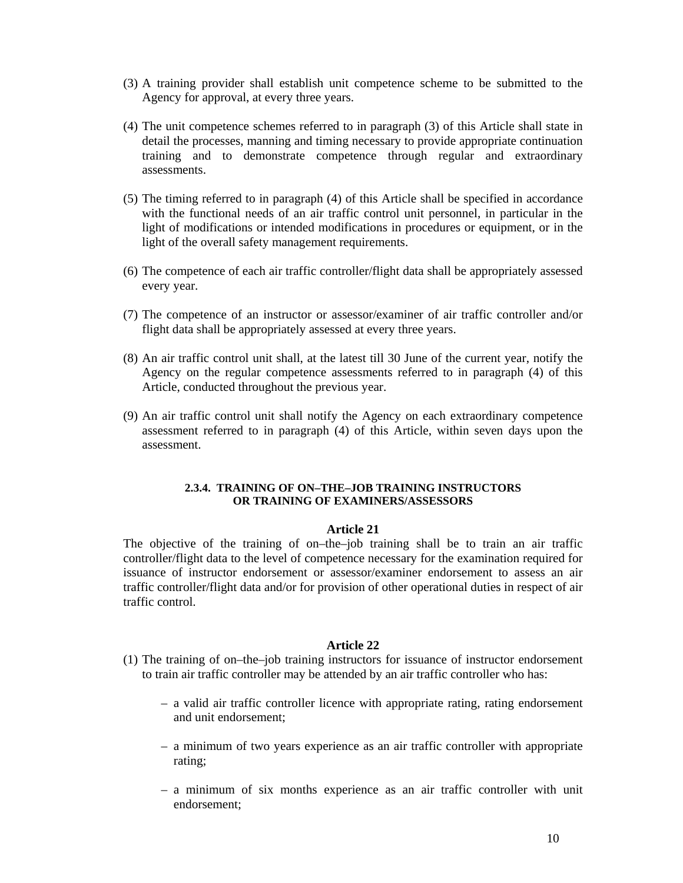- (3) A training provider shall establish unit competence scheme to be submitted to the Agency for approval, at every three years.
- (4) The unit competence schemes referred to in paragraph (3) of this Article shall state in detail the processes, manning and timing necessary to provide appropriate continuation training and to demonstrate competence through regular and extraordinary assessments.
- (5) The timing referred to in paragraph (4) of this Article shall be specified in accordance with the functional needs of an air traffic control unit personnel, in particular in the light of modifications or intended modifications in procedures or equipment, or in the light of the overall safety management requirements.
- (6) The competence of each air traffic controller/flight data shall be appropriately assessed every year.
- (7) The competence of an instructor or assessor/examiner of air traffic controller and/or flight data shall be appropriately assessed at every three years.
- (8) An air traffic control unit shall, at the latest till 30 June of the current year, notify the Agency on the regular competence assessments referred to in paragraph (4) of this Article, conducted throughout the previous year.
- (9) An air traffic control unit shall notify the Agency on each extraordinary competence assessment referred to in paragraph (4) of this Article, within seven days upon the assessment.

## **2.3.4. TRAINING OF ON–THE–JOB TRAINING INSTRUCTORS OR TRAINING OF EXAMINERS/ASSESSORS**

# **Article 21**

The objective of the training of on–the–job training shall be to train an air traffic controller/flight data to the level of competence necessary for the examination required for issuance of instructor endorsement or assessor/examiner endorsement to assess an air traffic controller/flight data and/or for provision of other operational duties in respect of air traffic control.

- (1) The training of on–the–job training instructors for issuance of instructor endorsement to train air traffic controller may be attended by an air traffic controller who has:
	- a valid air traffic controller licence with appropriate rating, rating endorsement and unit endorsement;
	- a minimum of two years experience as an air traffic controller with appropriate rating;
	- a minimum of six months experience as an air traffic controller with unit endorsement;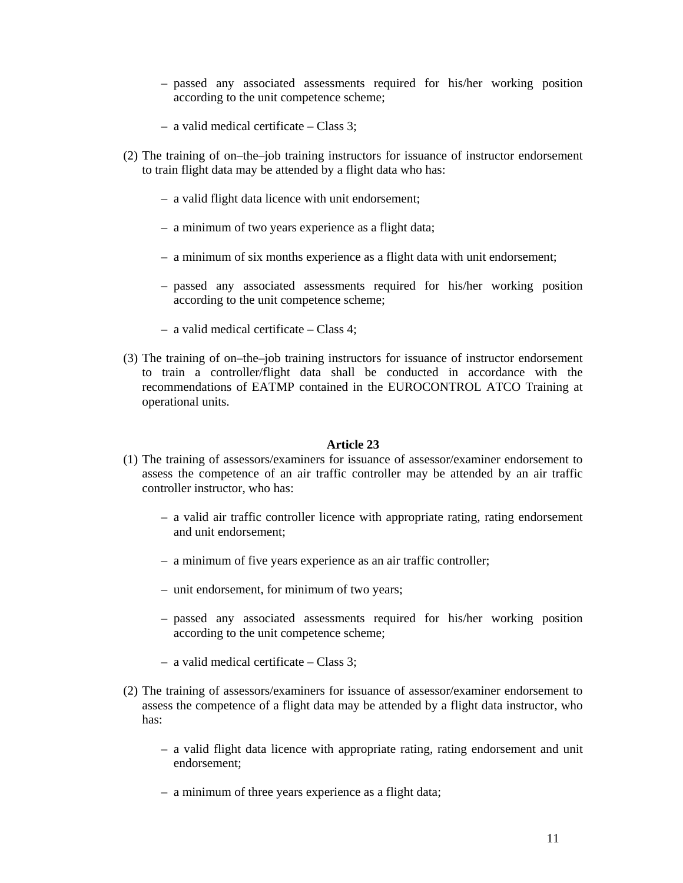- passed any associated assessments required for his/her working position according to the unit competence scheme;
- a valid medical certificate Class 3;
- (2) The training of on–the–job training instructors for issuance of instructor endorsement to train flight data may be attended by a flight data who has:
	- a valid flight data licence with unit endorsement;
	- a minimum of two years experience as a flight data;
	- a minimum of six months experience as a flight data with unit endorsement;
	- passed any associated assessments required for his/her working position according to the unit competence scheme;
	- a valid medical certificate Class 4;
- (3) The training of on–the–job training instructors for issuance of instructor endorsement to train a controller/flight data shall be conducted in accordance with the recommendations of EATMP contained in the EUROCONTROL ATCO Training at operational units.

- (1) The training of assessors/examiners for issuance of assessor/examiner endorsement to assess the competence of an air traffic controller may be attended by an air traffic controller instructor, who has:
	- a valid air traffic controller licence with appropriate rating, rating endorsement and unit endorsement;
	- a minimum of five years experience as an air traffic controller;
	- unit endorsement, for minimum of two years;
	- passed any associated assessments required for his/her working position according to the unit competence scheme;
	- a valid medical certificate Class 3;
- (2) The training of assessors/examiners for issuance of assessor/examiner endorsement to assess the competence of a flight data may be attended by a flight data instructor, who has:
	- a valid flight data licence with appropriate rating, rating endorsement and unit endorsement;
	- a minimum of three years experience as a flight data;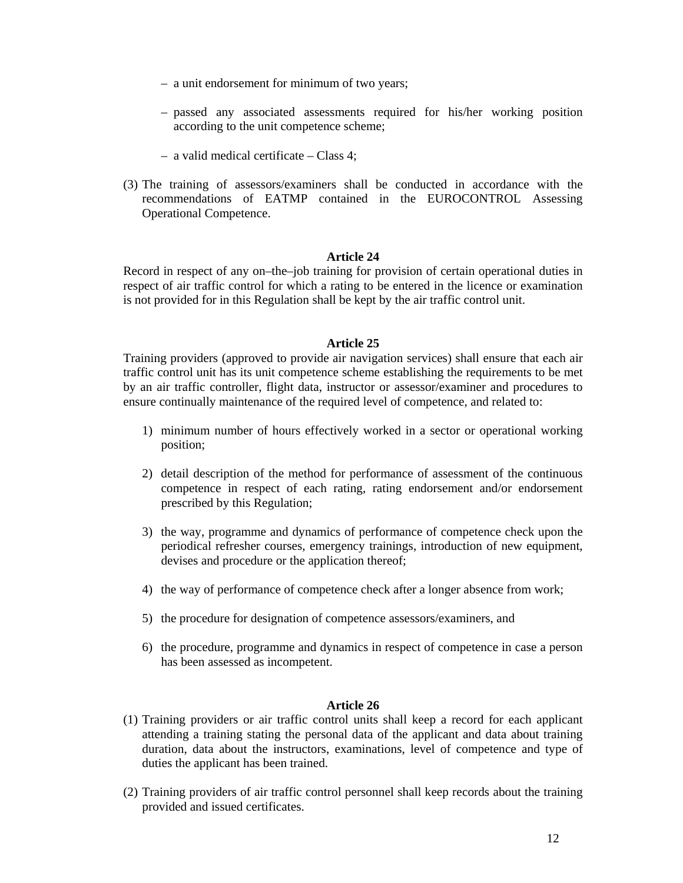- a unit endorsement for minimum of two years;
- passed any associated assessments required for his/her working position according to the unit competence scheme;
- a valid medical certificate Class 4;
- (3) The training of assessors/examiners shall be conducted in accordance with the recommendations of EATMP contained in the EUROCONTROL Assessing Operational Competence.

Record in respect of any on–the–job training for provision of certain operational duties in respect of air traffic control for which a rating to be entered in the licence or examination is not provided for in this Regulation shall be kept by the air traffic control unit.

## **Article 25**

Training providers (approved to provide air navigation services) shall ensure that each air traffic control unit has its unit competence scheme establishing the requirements to be met by an air traffic controller, flight data, instructor or assessor/examiner and procedures to ensure continually maintenance of the required level of competence, and related to:

- 1) minimum number of hours effectively worked in a sector or operational working position;
- 2) detail description of the method for performance of assessment of the continuous competence in respect of each rating, rating endorsement and/or endorsement prescribed by this Regulation;
- 3) the way, programme and dynamics of performance of competence check upon the periodical refresher courses, emergency trainings, introduction of new equipment, devises and procedure or the application thereof;
- 4) the way of performance of competence check after a longer absence from work;
- 5) the procedure for designation of competence assessors/examiners, and
- 6) the procedure, programme and dynamics in respect of competence in case a person has been assessed as incompetent.

- (1) Training providers or air traffic control units shall keep a record for each applicant attending a training stating the personal data of the applicant and data about training duration, data about the instructors, examinations, level of competence and type of duties the applicant has been trained.
- (2) Training providers of air traffic control personnel shall keep records about the training provided and issued certificates.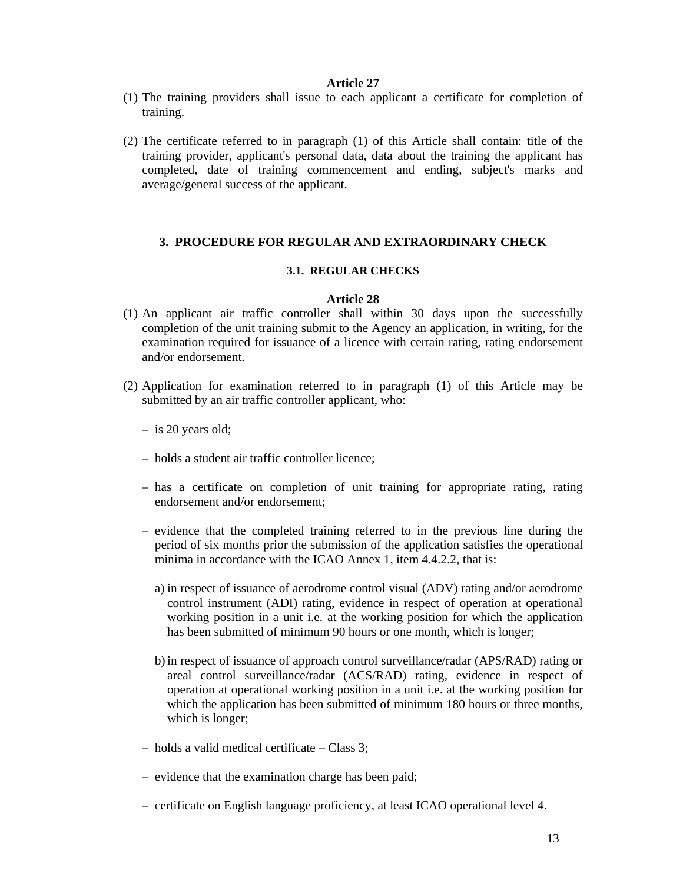- (1) The training providers shall issue to each applicant a certificate for completion of training.
- (2) The certificate referred to in paragraph (1) of this Article shall contain: title of the training provider, applicant's personal data, data about the training the applicant has completed, date of training commencement and ending, subject's marks and average/general success of the applicant.

# **3. PROCEDURE FOR REGULAR AND EXTRAORDINARY CHECK**

# **3.1. REGULAR CHECKS**

- (1) An applicant air traffic controller shall within 30 days upon the successfully completion of the unit training submit to the Agency an application, in writing, for the examination required for issuance of a licence with certain rating, rating endorsement and/or endorsement.
- (2) Application for examination referred to in paragraph (1) of this Article may be submitted by an air traffic controller applicant, who:
	- is 20 years old;
	- holds a student air traffic controller licence;
	- has a certificate on completion of unit training for appropriate rating, rating endorsement and/or endorsement;
	- evidence that the completed training referred to in the previous line during the period of six months prior the submission of the application satisfies the operational minima in accordance with the ICAO Annex 1, item 4.4.2.2, that is:
		- a) in respect of issuance of aerodrome control visual (ADV) rating and/or aerodrome control instrument (ADI) rating, evidence in respect of operation at operational working position in a unit i.e. at the working position for which the application has been submitted of minimum 90 hours or one month, which is longer;
		- b) in respect of issuance of approach control surveillance/radar (APS/RAD) rating or areal control surveillance/radar (ACS/RAD) rating, evidence in respect of operation at operational working position in a unit i.e. at the working position for which the application has been submitted of minimum 180 hours or three months, which is longer;
	- holds a valid medical certificate Class 3;
	- evidence that the examination charge has been paid;
	- certificate on English language proficiency, at least ICAO operational level 4.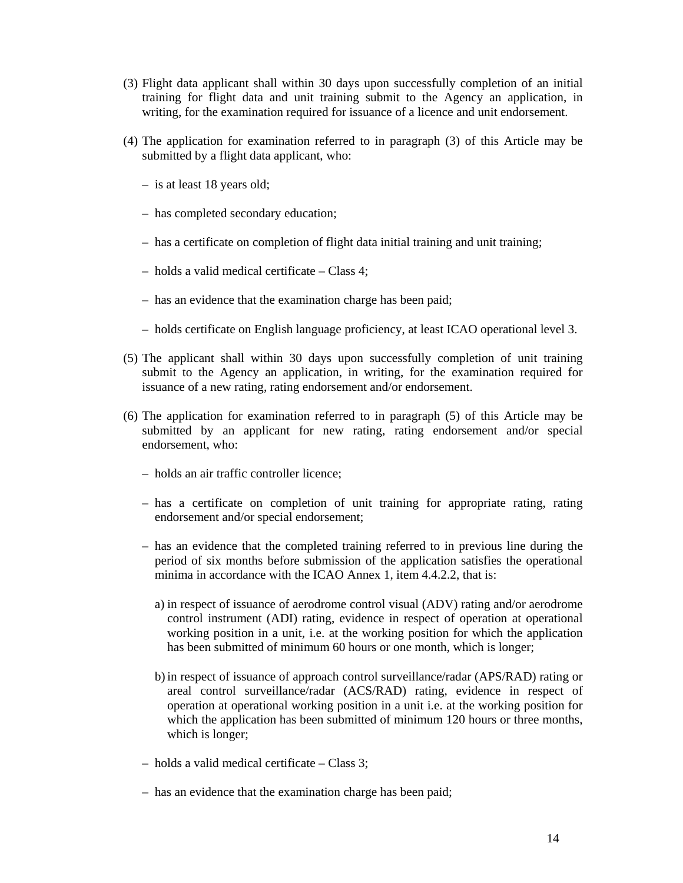- (3) Flight data applicant shall within 30 days upon successfully completion of an initial training for flight data and unit training submit to the Agency an application, in writing, for the examination required for issuance of a licence and unit endorsement.
- (4) The application for examination referred to in paragraph (3) of this Article may be submitted by a flight data applicant, who:
	- is at least 18 years old;
	- has completed secondary education;
	- has a certificate on completion of flight data initial training and unit training;
	- holds a valid medical certificate Class 4;
	- has an evidence that the examination charge has been paid;
	- holds certificate on English language proficiency, at least ICAO operational level 3.
- (5) The applicant shall within 30 days upon successfully completion of unit training submit to the Agency an application, in writing, for the examination required for issuance of a new rating, rating endorsement and/or endorsement.
- (6) The application for examination referred to in paragraph (5) of this Article may be submitted by an applicant for new rating, rating endorsement and/or special endorsement, who:
	- holds an air traffic controller licence;
	- has a certificate on completion of unit training for appropriate rating, rating endorsement and/or special endorsement;
	- has an evidence that the completed training referred to in previous line during the period of six months before submission of the application satisfies the operational minima in accordance with the ICAO Annex 1, item 4.4.2.2, that is:
		- a) in respect of issuance of aerodrome control visual (ADV) rating and/or aerodrome control instrument (ADI) rating, evidence in respect of operation at operational working position in a unit, i.e. at the working position for which the application has been submitted of minimum 60 hours or one month, which is longer;
		- b) in respect of issuance of approach control surveillance/radar (APS/RAD) rating or areal control surveillance/radar (ACS/RAD) rating, evidence in respect of operation at operational working position in a unit i.e. at the working position for which the application has been submitted of minimum 120 hours or three months, which is longer;
	- holds a valid medical certificate Class 3;
	- has an evidence that the examination charge has been paid;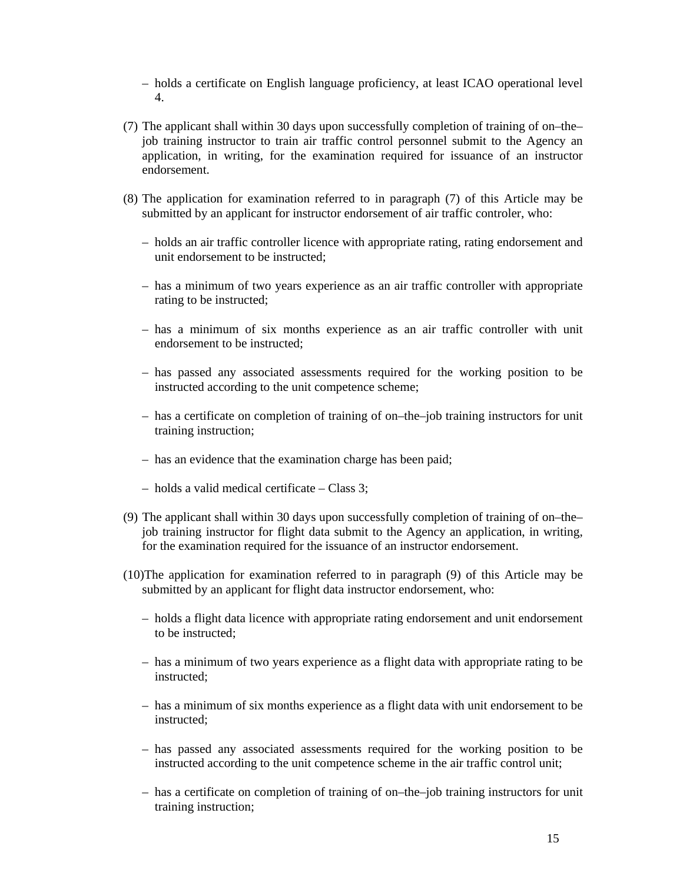- holds a certificate on English language proficiency, at least ICAO operational level 4.
- (7) The applicant shall within 30 days upon successfully completion of training of on–the– job training instructor to train air traffic control personnel submit to the Agency an application, in writing, for the examination required for issuance of an instructor endorsement.
- (8) The application for examination referred to in paragraph (7) of this Article may be submitted by an applicant for instructor endorsement of air traffic controler, who:
	- holds an air traffic controller licence with appropriate rating, rating endorsement and unit endorsement to be instructed;
	- has a minimum of two years experience as an air traffic controller with appropriate rating to be instructed;
	- has a minimum of six months experience as an air traffic controller with unit endorsement to be instructed;
	- has passed any associated assessments required for the working position to be instructed according to the unit competence scheme;
	- has a certificate on completion of training of on–the–job training instructors for unit training instruction;
	- has an evidence that the examination charge has been paid;
	- holds a valid medical certificate Class 3;
- (9) The applicant shall within 30 days upon successfully completion of training of on–the– job training instructor for flight data submit to the Agency an application, in writing, for the examination required for the issuance of an instructor endorsement.
- (10)The application for examination referred to in paragraph (9) of this Article may be submitted by an applicant for flight data instructor endorsement, who:
	- holds a flight data licence with appropriate rating endorsement and unit endorsement to be instructed;
	- has a minimum of two years experience as a flight data with appropriate rating to be instructed;
	- has a minimum of six months experience as a flight data with unit endorsement to be instructed;
	- has passed any associated assessments required for the working position to be instructed according to the unit competence scheme in the air traffic control unit;
	- has a certificate on completion of training of on–the–job training instructors for unit training instruction;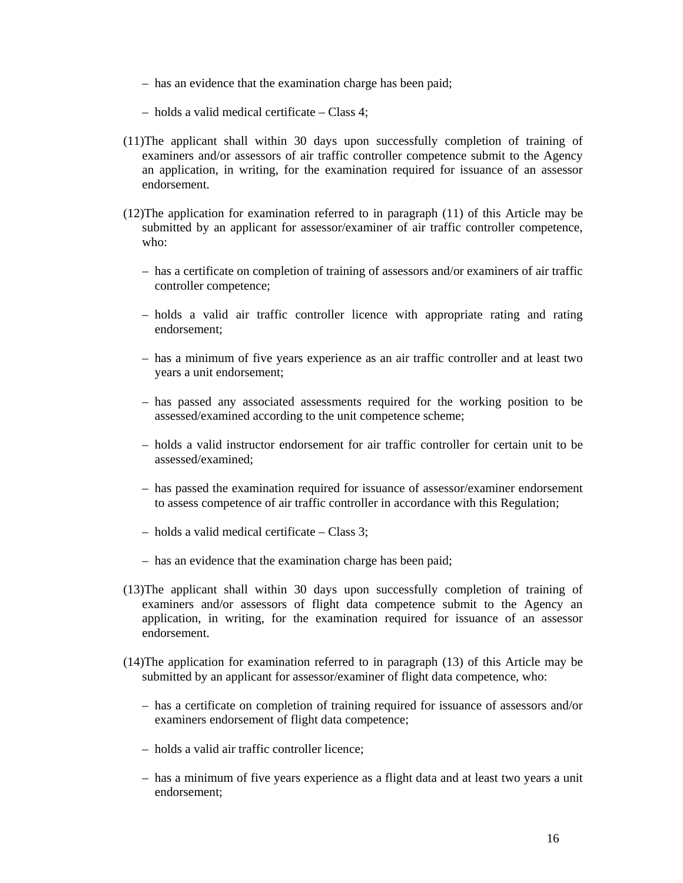- has an evidence that the examination charge has been paid;
- holds a valid medical certificate Class 4;
- (11)The applicant shall within 30 days upon successfully completion of training of examiners and/or assessors of air traffic controller competence submit to the Agency an application, in writing, for the examination required for issuance of an assessor endorsement.
- (12)The application for examination referred to in paragraph (11) of this Article may be submitted by an applicant for assessor/examiner of air traffic controller competence, who:
	- has a certificate on completion of training of assessors and/or examiners of air traffic controller competence;
	- holds a valid air traffic controller licence with appropriate rating and rating endorsement;
	- has a minimum of five years experience as an air traffic controller and at least two years a unit endorsement;
	- has passed any associated assessments required for the working position to be assessed/examined according to the unit competence scheme;
	- holds a valid instructor endorsement for air traffic controller for certain unit to be assessed/examined;
	- has passed the examination required for issuance of assessor/examiner endorsement to assess competence of air traffic controller in accordance with this Regulation;
	- holds a valid medical certificate Class 3;
	- has an evidence that the examination charge has been paid;
- (13)The applicant shall within 30 days upon successfully completion of training of examiners and/or assessors of flight data competence submit to the Agency an application, in writing, for the examination required for issuance of an assessor endorsement.
- (14)The application for examination referred to in paragraph (13) of this Article may be submitted by an applicant for assessor/examiner of flight data competence, who:
	- has a certificate on completion of training required for issuance of assessors and/or examiners endorsement of flight data competence;
	- holds a valid air traffic controller licence;
	- has a minimum of five years experience as a flight data and at least two years a unit endorsement;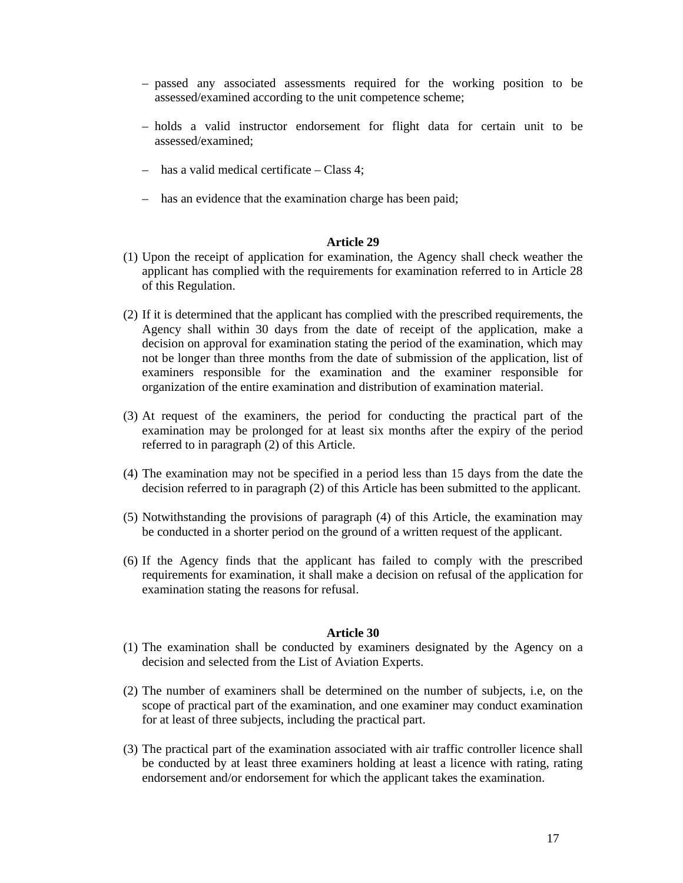- passed any associated assessments required for the working position to be assessed/examined according to the unit competence scheme;
- holds a valid instructor endorsement for flight data for certain unit to be assessed/examined;
- has a valid medical certificate Class 4;
- has an evidence that the examination charge has been paid;

- (1) Upon the receipt of application for examination, the Agency shall check weather the applicant has complied with the requirements for examination referred to in Article 28 of this Regulation.
- (2) If it is determined that the applicant has complied with the prescribed requirements, the Agency shall within 30 days from the date of receipt of the application, make a decision on approval for examination stating the period of the examination, which may not be longer than three months from the date of submission of the application, list of examiners responsible for the examination and the examiner responsible for organization of the entire examination and distribution of examination material.
- (3) At request of the examiners, the period for conducting the practical part of the examination may be prolonged for at least six months after the expiry of the period referred to in paragraph (2) of this Article.
- (4) The examination may not be specified in a period less than 15 days from the date the decision referred to in paragraph (2) of this Article has been submitted to the applicant.
- (5) Notwithstanding the provisions of paragraph (4) of this Article, the examination may be conducted in a shorter period on the ground of a written request of the applicant.
- (6) If the Agency finds that the applicant has failed to comply with the prescribed requirements for examination, it shall make a decision on refusal of the application for examination stating the reasons for refusal.

- (1) The examination shall be conducted by examiners designated by the Agency on a decision and selected from the List of Aviation Experts.
- (2) The number of examiners shall be determined on the number of subjects, i.e, on the scope of practical part of the examination, and one examiner may conduct examination for at least of three subjects, including the practical part.
- (3) The practical part of the examination associated with air traffic controller licence shall be conducted by at least three examiners holding at least a licence with rating, rating endorsement and/or endorsement for which the applicant takes the examination.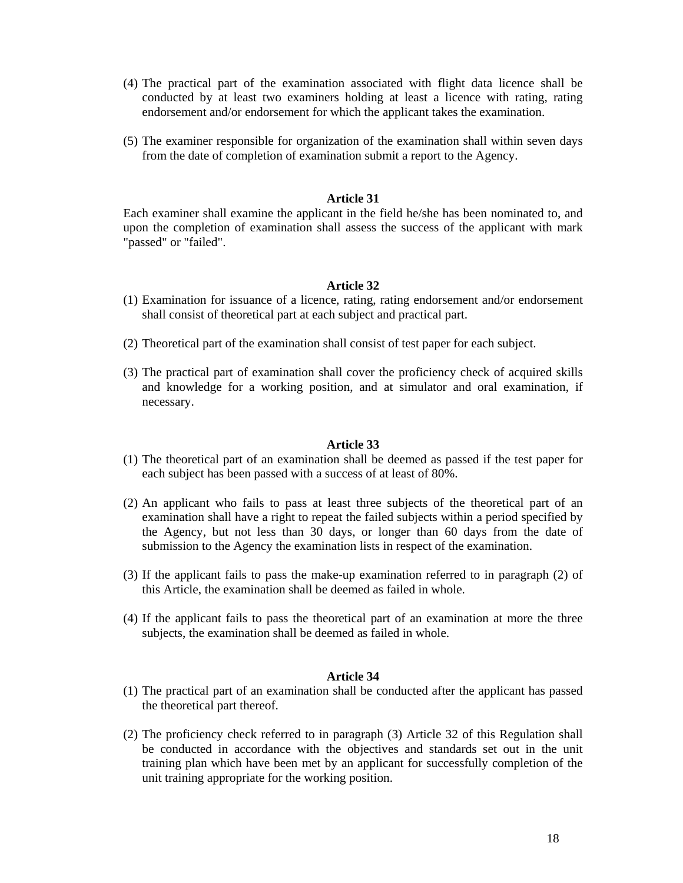- (4) The practical part of the examination associated with flight data licence shall be conducted by at least two examiners holding at least a licence with rating, rating endorsement and/or endorsement for which the applicant takes the examination.
- (5) The examiner responsible for organization of the examination shall within seven days from the date of completion of examination submit a report to the Agency.

Each examiner shall examine the applicant in the field he/she has been nominated to, and upon the completion of examination shall assess the success of the applicant with mark "passed" or "failed".

#### **Article 32**

- (1) Examination for issuance of a licence, rating, rating endorsement and/or endorsement shall consist of theoretical part at each subject and practical part.
- (2) Theoretical part of the examination shall consist of test paper for each subject.
- (3) The practical part of examination shall cover the proficiency check of acquired skills and knowledge for a working position, and at simulator and oral examination, if necessary.

#### **Article 33**

- (1) The theoretical part of an examination shall be deemed as passed if the test paper for each subject has been passed with a success of at least of 80%.
- (2) An applicant who fails to pass at least three subjects of the theoretical part of an examination shall have a right to repeat the failed subjects within a period specified by the Agency, but not less than 30 days, or longer than 60 days from the date of submission to the Agency the examination lists in respect of the examination.
- (3) If the applicant fails to pass the make-up examination referred to in paragraph (2) of this Article, the examination shall be deemed as failed in whole.
- (4) If the applicant fails to pass the theoretical part of an examination at more the three subjects, the examination shall be deemed as failed in whole.

- (1) The practical part of an examination shall be conducted after the applicant has passed the theoretical part thereof.
- (2) The proficiency check referred to in paragraph (3) Article 32 of this Regulation shall be conducted in accordance with the objectives and standards set out in the unit training plan which have been met by an applicant for successfully completion of the unit training appropriate for the working position.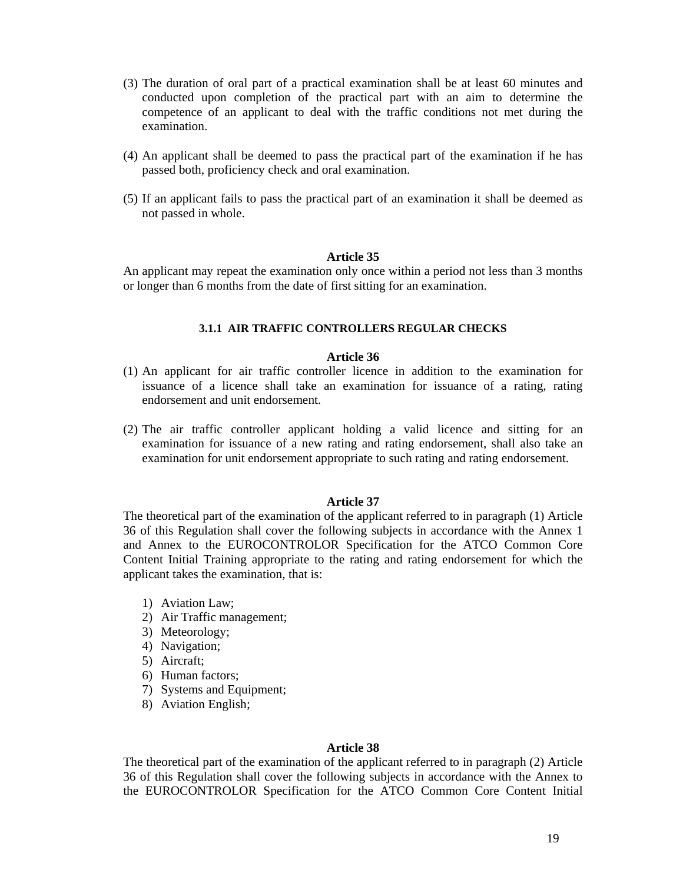- (3) The duration of oral part of a practical examination shall be at least 60 minutes and conducted upon completion of the practical part with an aim to determine the competence of an applicant to deal with the traffic conditions not met during the examination.
- (4) An applicant shall be deemed to pass the practical part of the examination if he has passed both, proficiency check and oral examination.
- (5) If an applicant fails to pass the practical part of an examination it shall be deemed as not passed in whole.

An applicant may repeat the examination only once within a period not less than 3 months or longer than 6 months from the date of first sitting for an examination.

# **3.1.1 AIR TRAFFIC CONTROLLERS REGULAR CHECKS**

# **Article 36**

- (1) An applicant for air traffic controller licence in addition to the examination for issuance of a licence shall take an examination for issuance of a rating, rating endorsement and unit endorsement.
- (2) The air traffic controller applicant holding a valid licence and sitting for an examination for issuance of a new rating and rating endorsement, shall also take an examination for unit endorsement appropriate to such rating and rating endorsement.

#### **Article 37**

The theoretical part of the examination of the applicant referred to in paragraph (1) Article 36 of this Regulation shall cover the following subjects in accordance with the Annex 1 and Annex to the EUROCONTROLOR Specification for the ATCO Common Core Content Initial Training appropriate to the rating and rating endorsement for which the applicant takes the examination, that is:

- 1) Aviation Law;
- 2) Air Traffic management;
- 3) Meteorology;
- 4) Navigation;
- 5) Aircraft;
- 6) Human factors;
- 7) Systems and Equipment;
- 8) Aviation English;

#### **Article 38**

The theoretical part of the examination of the applicant referred to in paragraph (2) Article 36 of this Regulation shall cover the following subjects in accordance with the Annex to the EUROCONTROLOR Specification for the ATCO Common Core Content Initial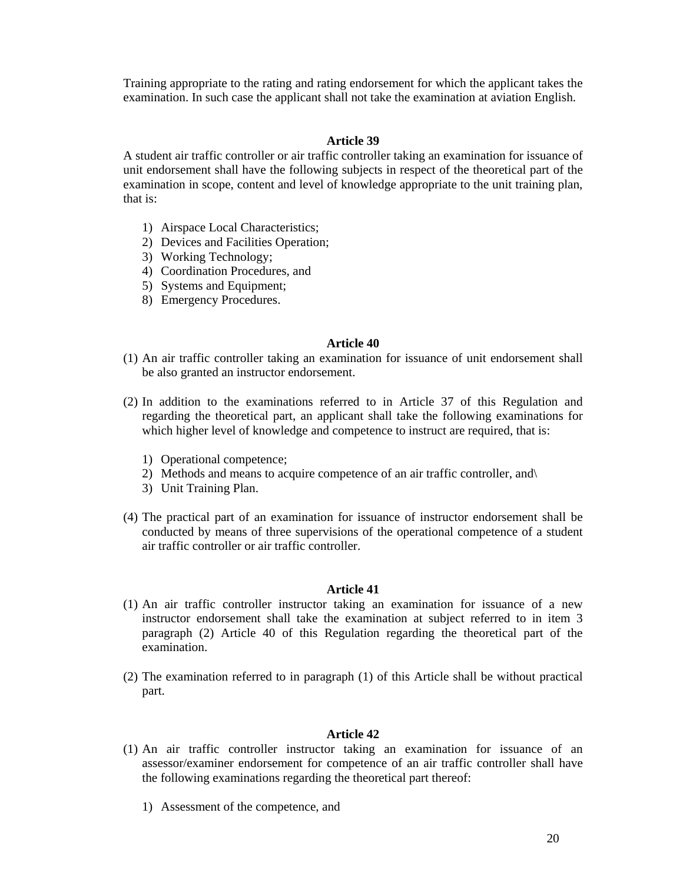Training appropriate to the rating and rating endorsement for which the applicant takes the examination. In such case the applicant shall not take the examination at aviation English.

# **Article 39**

A student air traffic controller or air traffic controller taking an examination for issuance of unit endorsement shall have the following subjects in respect of the theoretical part of the examination in scope, content and level of knowledge appropriate to the unit training plan, that is:

- 1) Airspace Local Characteristics;
- 2) Devices and Facilities Operation;
- 3) Working Technology;
- 4) Coordination Procedures, and
- 5) Systems and Equipment;
- 8) Emergency Procedures.

# **Article 40**

- (1) An air traffic controller taking an examination for issuance of unit endorsement shall be also granted an instructor endorsement.
- (2) In addition to the examinations referred to in Article 37 of this Regulation and regarding the theoretical part, an applicant shall take the following examinations for which higher level of knowledge and competence to instruct are required, that is:
	- 1) Operational competence;
	- 2) Methods and means to acquire competence of an air traffic controller, and\
	- 3) Unit Training Plan.
- (4) The practical part of an examination for issuance of instructor endorsement shall be conducted by means of three supervisions of the operational competence of a student air traffic controller or air traffic controller.

# **Article 41**

- (1) An air traffic controller instructor taking an examination for issuance of a new instructor endorsement shall take the examination at subject referred to in item 3 paragraph (2) Article 40 of this Regulation regarding the theoretical part of the examination.
- (2) The examination referred to in paragraph (1) of this Article shall be without practical part.

- (1) An air traffic controller instructor taking an examination for issuance of an assessor/examiner endorsement for competence of an air traffic controller shall have the following examinations regarding the theoretical part thereof:
	- 1) Assessment of the competence, and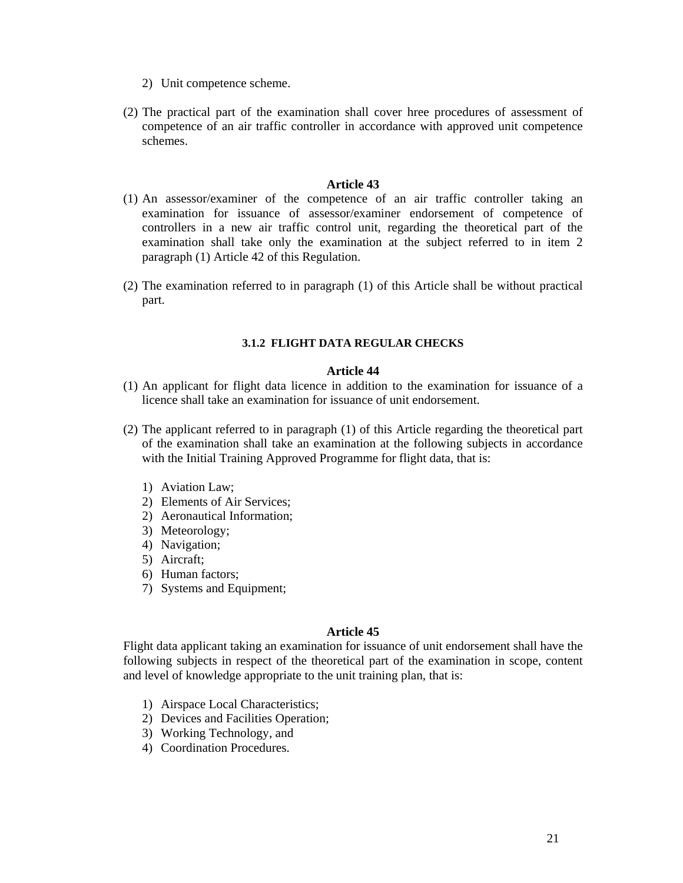- 2) Unit competence scheme.
- (2) The practical part of the examination shall cover hree procedures of assessment of competence of an air traffic controller in accordance with approved unit competence schemes.

- (1) An assessor/examiner of the competence of an air traffic controller taking an examination for issuance of assessor/examiner endorsement of competence of controllers in a new air traffic control unit, regarding the theoretical part of the examination shall take only the examination at the subject referred to in item 2 paragraph (1) Article 42 of this Regulation.
- (2) The examination referred to in paragraph (1) of this Article shall be without practical part.

# **3.1.2 FLIGHT DATA REGULAR CHECKS**

#### **Article 44**

- (1) An applicant for flight data licence in addition to the examination for issuance of a licence shall take an examination for issuance of unit endorsement.
- (2) The applicant referred to in paragraph (1) of this Article regarding the theoretical part of the examination shall take an examination at the following subjects in accordance with the Initial Training Approved Programme for flight data, that is:
	- 1) Aviation Law;
	- 2) Elements of Air Services;
	- 2) Aeronautical Information;
	- 3) Meteorology;
	- 4) Navigation;
	- 5) Aircraft;
	- 6) Human factors;
	- 7) Systems and Equipment;

## **Article 45**

Flight data applicant taking an examination for issuance of unit endorsement shall have the following subjects in respect of the theoretical part of the examination in scope, content and level of knowledge appropriate to the unit training plan, that is:

- 1) Airspace Local Characteristics;
- 2) Devices and Facilities Operation;
- 3) Working Technology, and
- 4) Coordination Procedures.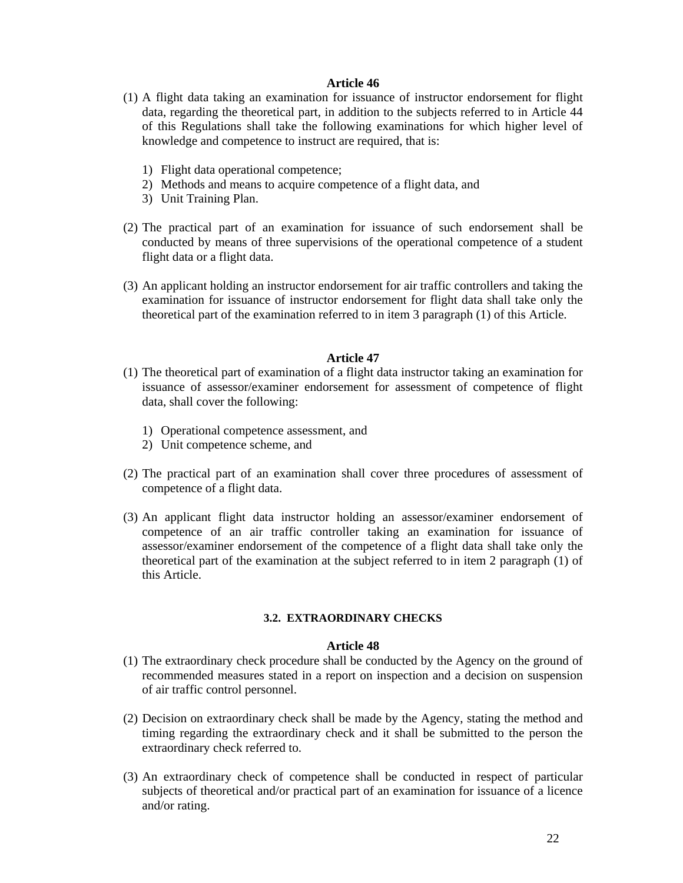- (1) A flight data taking an examination for issuance of instructor endorsement for flight data, regarding the theoretical part, in addition to the subjects referred to in Article 44 of this Regulations shall take the following examinations for which higher level of knowledge and competence to instruct are required, that is:
	- 1) Flight data operational competence;
	- 2) Methods and means to acquire competence of a flight data, and
	- 3) Unit Training Plan.
- (2) The practical part of an examination for issuance of such endorsement shall be conducted by means of three supervisions of the operational competence of a student flight data or a flight data.
- (3) An applicant holding an instructor endorsement for air traffic controllers and taking the examination for issuance of instructor endorsement for flight data shall take only the theoretical part of the examination referred to in item 3 paragraph (1) of this Article.

## **Article 47**

- (1) The theoretical part of examination of a flight data instructor taking an examination for issuance of assessor/examiner endorsement for assessment of competence of flight data, shall cover the following:
	- 1) Operational competence assessment, and
	- 2) Unit competence scheme, and
- (2) The practical part of an examination shall cover three procedures of assessment of competence of a flight data.
- (3) An applicant flight data instructor holding an assessor/examiner endorsement of competence of an air traffic controller taking an examination for issuance of assessor/examiner endorsement of the competence of a flight data shall take only the theoretical part of the examination at the subject referred to in item 2 paragraph (1) of this Article.

#### **3.2. EXTRAORDINARY CHECKS**

- (1) The extraordinary check procedure shall be conducted by the Agency on the ground of recommended measures stated in a report on inspection and a decision on suspension of air traffic control personnel.
- (2) Decision on extraordinary check shall be made by the Agency, stating the method and timing regarding the extraordinary check and it shall be submitted to the person the extraordinary check referred to.
- (3) An extraordinary check of competence shall be conducted in respect of particular subjects of theoretical and/or practical part of an examination for issuance of a licence and/or rating.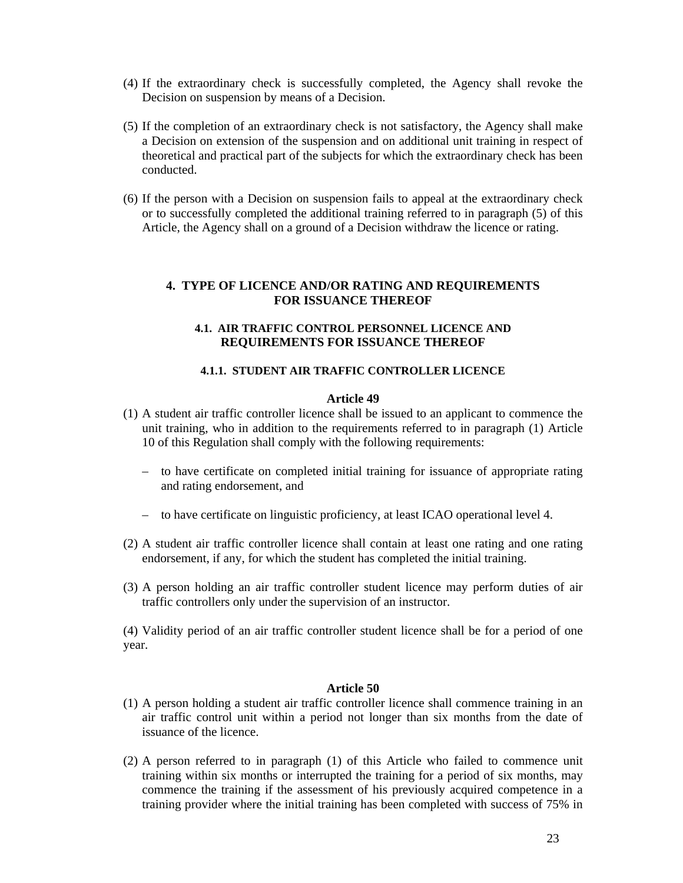- (4) If the extraordinary check is successfully completed, the Agency shall revoke the Decision on suspension by means of a Decision.
- (5) If the completion of an extraordinary check is not satisfactory, the Agency shall make a Decision on extension of the suspension and on additional unit training in respect of theoretical and practical part of the subjects for which the extraordinary check has been conducted.
- (6) If the person with a Decision on suspension fails to appeal at the extraordinary check or to successfully completed the additional training referred to in paragraph (5) of this Article, the Agency shall on a ground of a Decision withdraw the licence or rating.

## **4. TYPE OF LICENCE AND/OR RATING AND REQUIREMENTS FOR ISSUANCE THEREOF**

### **4.1. AIR TRAFFIC CONTROL PERSONNEL LICENCE AND REQUIREMENTS FOR ISSUANCE THEREOF**

## **4.1.1. STUDENT AIR TRAFFIC CONTROLLER LICENCE**

## **Article 49**

- (1) A student air traffic controller licence shall be issued to an applicant to commence the unit training, who in addition to the requirements referred to in paragraph (1) Article 10 of this Regulation shall comply with the following requirements:
	- to have certificate on completed initial training for issuance of appropriate rating and rating endorsement, and
	- to have certificate on linguistic proficiency, at least ICAO operational level 4.
- (2) A student air traffic controller licence shall contain at least one rating and one rating endorsement, if any, for which the student has completed the initial training.
- (3) A person holding an air traffic controller student licence may perform duties of air traffic controllers only under the supervision of an instructor.

(4) Validity period of an air traffic controller student licence shall be for a period of one year.

- (1) A person holding a student air traffic controller licence shall commence training in an air traffic control unit within a period not longer than six months from the date of issuance of the licence.
- (2) A person referred to in paragraph (1) of this Article who failed to commence unit training within six months or interrupted the training for a period of six months, may commence the training if the assessment of his previously acquired competence in a training provider where the initial training has been completed with success of 75% in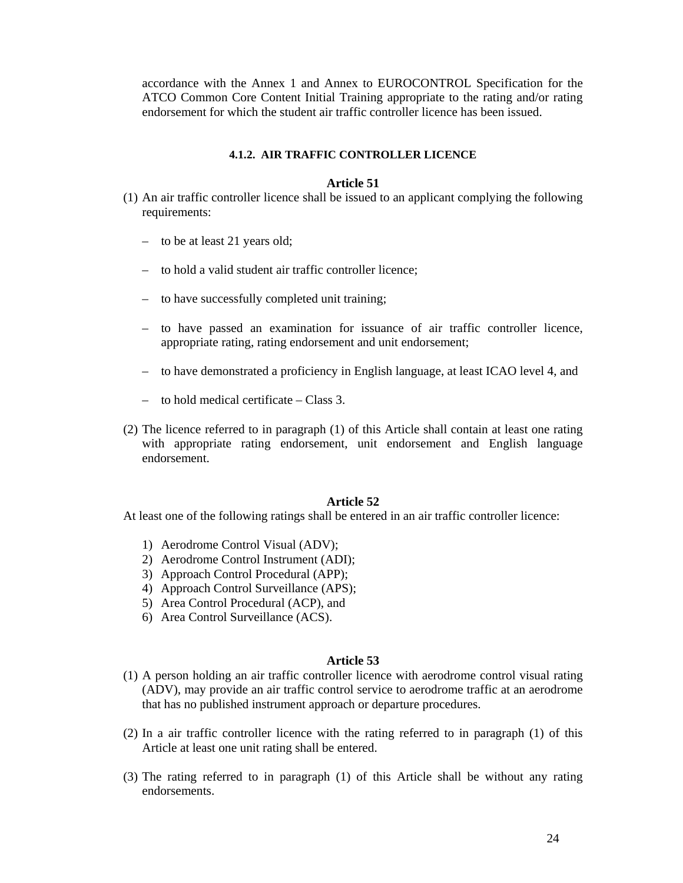accordance with the Annex 1 and Annex to EUROCONTROL Specification for the ATCO Common Core Content Initial Training appropriate to the rating and/or rating endorsement for which the student air traffic controller licence has been issued.

# **4.1.2. AIR TRAFFIC CONTROLLER LICENCE**

## **Article 51**

- (1) An air traffic controller licence shall be issued to an applicant complying the following requirements:
	- to be at least 21 years old;
	- to hold a valid student air traffic controller licence;
	- to have successfully completed unit training;
	- to have passed an examination for issuance of air traffic controller licence, appropriate rating, rating endorsement and unit endorsement;
	- to have demonstrated a proficiency in English language, at least ICAO level 4, and
	- $-$  to hold medical certificate  $-$  Class 3.
- (2) The licence referred to in paragraph (1) of this Article shall contain at least one rating with appropriate rating endorsement, unit endorsement and English language endorsement.

### **Article 52**

At least one of the following ratings shall be entered in an air traffic controller licence:

- 1) Aerodrome Control Visual (ADV);
- 2) Aerodrome Control Instrument (ADI);
- 3) Approach Control Procedural (APP);
- 4) Approach Control Surveillance (APS);
- 5) Area Control Procedural (ACP), and
- 6) Area Control Surveillance (ACS).

- (1) A person holding an air traffic controller licence with aerodrome control visual rating (ADV), may provide an air traffic control service to aerodrome traffic at an aerodrome that has no published instrument approach or departure procedures.
- (2) In a air traffic controller licence with the rating referred to in paragraph (1) of this Article at least one unit rating shall be entered.
- (3) The rating referred to in paragraph (1) of this Article shall be without any rating endorsements.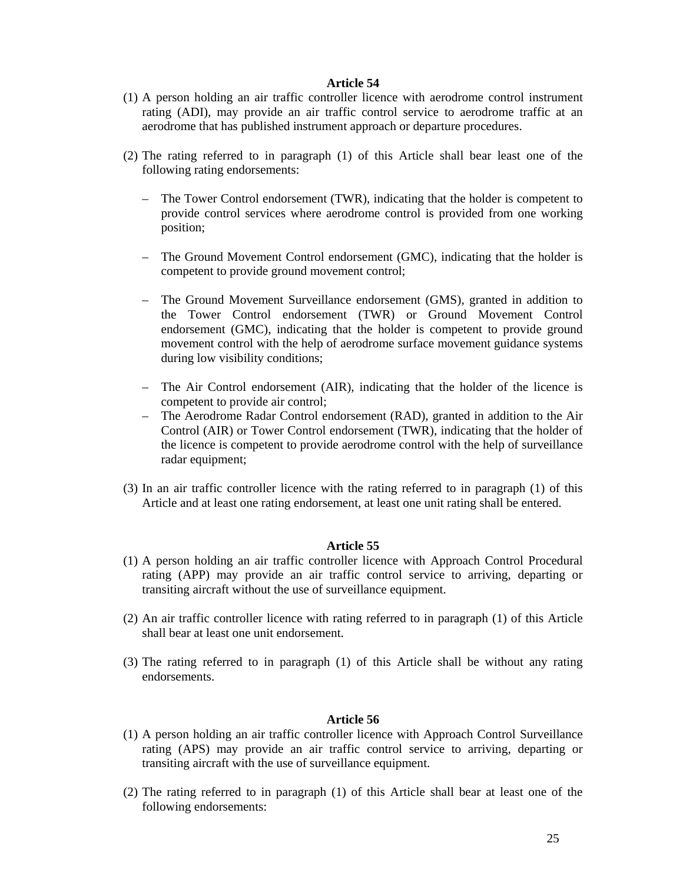- (1) A person holding an air traffic controller licence with aerodrome control instrument rating (ADI), may provide an air traffic control service to aerodrome traffic at an aerodrome that has published instrument approach or departure procedures.
- (2) The rating referred to in paragraph (1) of this Article shall bear least one of the following rating endorsements:
	- The Tower Control endorsement (TWR), indicating that the holder is competent to provide control services where aerodrome control is provided from one working position;
	- The Ground Movement Control endorsement (GMC), indicating that the holder is competent to provide ground movement control;
	- The Ground Movement Surveillance endorsement (GMS), granted in addition to the Tower Control endorsement (TWR) or Ground Movement Control endorsement (GMC), indicating that the holder is competent to provide ground movement control with the help of aerodrome surface movement guidance systems during low visibility conditions;
	- The Air Control endorsement (AIR), indicating that the holder of the licence is competent to provide air control;
	- The Aerodrome Radar Control endorsement (RAD), granted in addition to the Air Control (AIR) or Tower Control endorsement (TWR), indicating that the holder of the licence is competent to provide aerodrome control with the help of surveillance radar equipment;
- (3) In an air traffic controller licence with the rating referred to in paragraph (1) of this Article and at least one rating endorsement, at least one unit rating shall be entered.

### **Article 55**

- (1) A person holding an air traffic controller licence with Approach Control Procedural rating (APP) may provide an air traffic control service to arriving, departing or transiting aircraft without the use of surveillance equipment.
- (2) An air traffic controller licence with rating referred to in paragraph (1) of this Article shall bear at least one unit endorsement.
- (3) The rating referred to in paragraph (1) of this Article shall be without any rating endorsements.

- (1) A person holding an air traffic controller licence with Approach Control Surveillance rating (APS) may provide an air traffic control service to arriving, departing or transiting aircraft with the use of surveillance equipment.
- (2) The rating referred to in paragraph (1) of this Article shall bear at least one of the following endorsements: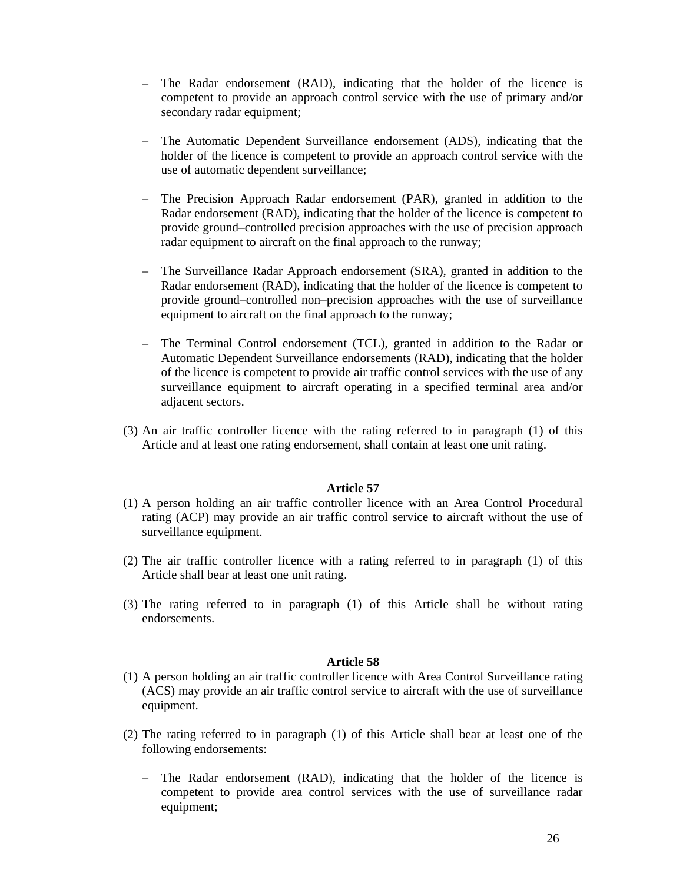- The Radar endorsement (RAD), indicating that the holder of the licence is competent to provide an approach control service with the use of primary and/or secondary radar equipment;
- The Automatic Dependent Surveillance endorsement (ADS), indicating that the holder of the licence is competent to provide an approach control service with the use of automatic dependent surveillance;
- The Precision Approach Radar endorsement (PAR), granted in addition to the Radar endorsement (RAD), indicating that the holder of the licence is competent to provide ground–controlled precision approaches with the use of precision approach radar equipment to aircraft on the final approach to the runway;
- The Surveillance Radar Approach endorsement (SRA), granted in addition to the Radar endorsement (RAD), indicating that the holder of the licence is competent to provide ground–controlled non–precision approaches with the use of surveillance equipment to aircraft on the final approach to the runway;
- The Terminal Control endorsement (TCL), granted in addition to the Radar or Automatic Dependent Surveillance endorsements (RAD), indicating that the holder of the licence is competent to provide air traffic control services with the use of any surveillance equipment to aircraft operating in a specified terminal area and/or adjacent sectors.
- (3) An air traffic controller licence with the rating referred to in paragraph (1) of this Article and at least one rating endorsement, shall contain at least one unit rating.

- (1) A person holding an air traffic controller licence with an Area Control Procedural rating (ACP) may provide an air traffic control service to aircraft without the use of surveillance equipment.
- (2) The air traffic controller licence with a rating referred to in paragraph (1) of this Article shall bear at least one unit rating.
- (3) The rating referred to in paragraph (1) of this Article shall be without rating endorsements.

- (1) A person holding an air traffic controller licence with Area Control Surveillance rating (ACS) may provide an air traffic control service to aircraft with the use of surveillance equipment.
- (2) The rating referred to in paragraph (1) of this Article shall bear at least one of the following endorsements:
	- The Radar endorsement (RAD), indicating that the holder of the licence is competent to provide area control services with the use of surveillance radar equipment;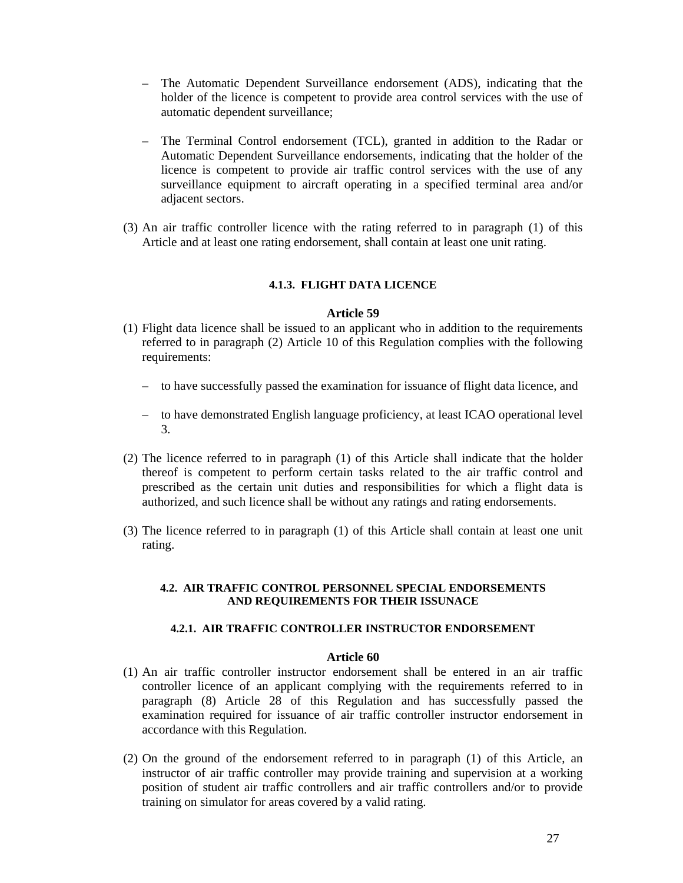- The Automatic Dependent Surveillance endorsement (ADS), indicating that the holder of the licence is competent to provide area control services with the use of automatic dependent surveillance;
- The Terminal Control endorsement (TCL), granted in addition to the Radar or Automatic Dependent Surveillance endorsements, indicating that the holder of the licence is competent to provide air traffic control services with the use of any surveillance equipment to aircraft operating in a specified terminal area and/or adjacent sectors.
- (3) An air traffic controller licence with the rating referred to in paragraph (1) of this Article and at least one rating endorsement, shall contain at least one unit rating.

# **4.1.3. FLIGHT DATA LICENCE**

### **Article 59**

- (1) Flight data licence shall be issued to an applicant who in addition to the requirements referred to in paragraph (2) Article 10 of this Regulation complies with the following requirements:
	- to have successfully passed the examination for issuance of flight data licence, and
	- to have demonstrated English language proficiency, at least ICAO operational level 3.
- (2) The licence referred to in paragraph (1) of this Article shall indicate that the holder thereof is competent to perform certain tasks related to the air traffic control and prescribed as the certain unit duties and responsibilities for which a flight data is authorized, and such licence shall be without any ratings and rating endorsements.
- (3) The licence referred to in paragraph (1) of this Article shall contain at least one unit rating.

#### **4.2. AIR TRAFFIC CONTROL PERSONNEL SPECIAL ENDORSEMENTS AND REQUIREMENTS FOR THEIR ISSUNACE**

## **4.2.1. AIR TRAFFIC CONTROLLER INSTRUCTOR ENDORSEMENT**

- (1) An air traffic controller instructor endorsement shall be entered in an air traffic controller licence of an applicant complying with the requirements referred to in paragraph (8) Article 28 of this Regulation and has successfully passed the examination required for issuance of air traffic controller instructor endorsement in accordance with this Regulation.
- (2) On the ground of the endorsement referred to in paragraph (1) of this Article, an instructor of air traffic controller may provide training and supervision at a working position of student air traffic controllers and air traffic controllers and/or to provide training on simulator for areas covered by a valid rating.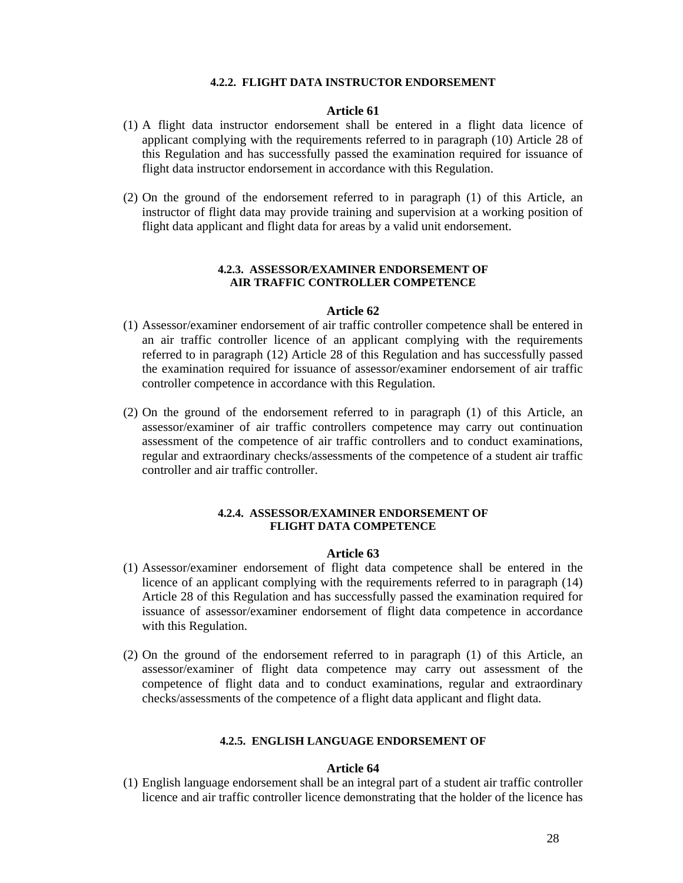#### **4.2.2. FLIGHT DATA INSTRUCTOR ENDORSEMENT**

### **Article 61**

- (1) A flight data instructor endorsement shall be entered in a flight data licence of applicant complying with the requirements referred to in paragraph (10) Article 28 of this Regulation and has successfully passed the examination required for issuance of flight data instructor endorsement in accordance with this Regulation.
- (2) On the ground of the endorsement referred to in paragraph (1) of this Article, an instructor of flight data may provide training and supervision at a working position of flight data applicant and flight data for areas by a valid unit endorsement.

## **4.2.3. ASSESSOR/EXAMINER ENDORSEMENT OF AIR TRAFFIC CONTROLLER COMPETENCE**

#### **Article 62**

- (1) Assessor/examiner endorsement of air traffic controller competence shall be entered in an air traffic controller licence of an applicant complying with the requirements referred to in paragraph (12) Article 28 of this Regulation and has successfully passed the examination required for issuance of assessor/examiner endorsement of air traffic controller competence in accordance with this Regulation.
- (2) On the ground of the endorsement referred to in paragraph (1) of this Article, an assessor/examiner of air traffic controllers competence may carry out continuation assessment of the competence of air traffic controllers and to conduct examinations, regular and extraordinary checks/assessments of the competence of a student air traffic controller and air traffic controller.

### **4.2.4. ASSESSOR/EXAMINER ENDORSEMENT OF FLIGHT DATA COMPETENCE**

## **Article 63**

- (1) Assessor/examiner endorsement of flight data competence shall be entered in the licence of an applicant complying with the requirements referred to in paragraph (14) Article 28 of this Regulation and has successfully passed the examination required for issuance of assessor/examiner endorsement of flight data competence in accordance with this Regulation.
- (2) On the ground of the endorsement referred to in paragraph (1) of this Article, an assessor/examiner of flight data competence may carry out assessment of the competence of flight data and to conduct examinations, regular and extraordinary checks/assessments of the competence of a flight data applicant and flight data.

#### **4.2.5. ENGLISH LANGUAGE ENDORSEMENT OF**

#### **Article 64**

(1) English language endorsement shall be an integral part of a student air traffic controller licence and air traffic controller licence demonstrating that the holder of the licence has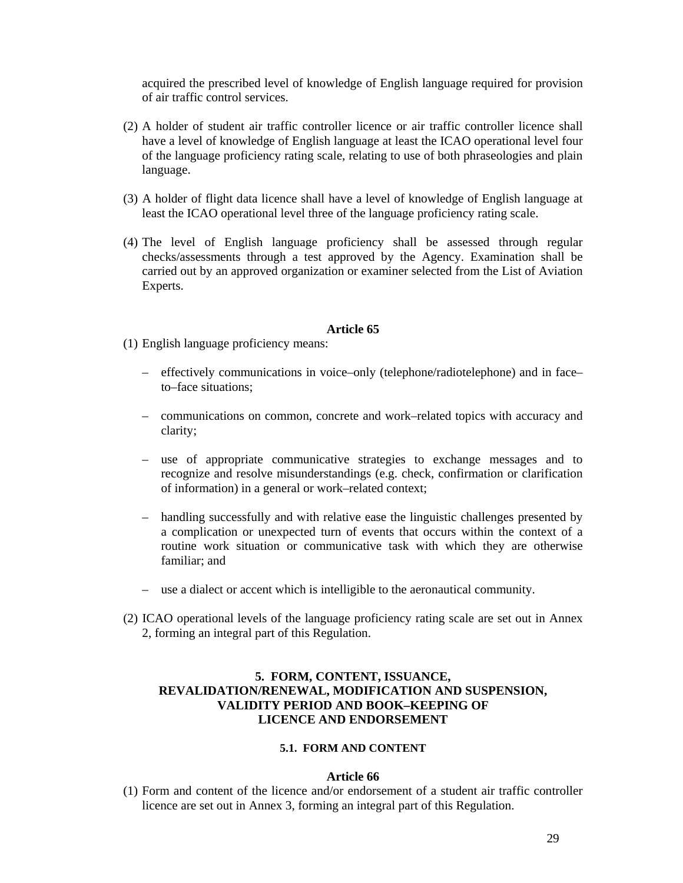acquired the prescribed level of knowledge of English language required for provision of air traffic control services.

- (2) A holder of student air traffic controller licence or air traffic controller licence shall have a level of knowledge of English language at least the ICAO operational level four of the language proficiency rating scale, relating to use of both phraseologies and plain language.
- (3) A holder of flight data licence shall have a level of knowledge of English language at least the ICAO operational level three of the language proficiency rating scale.
- (4) The level of English language proficiency shall be assessed through regular checks/assessments through a test approved by the Agency. Examination shall be carried out by an approved organization or examiner selected from the List of Aviation Experts.

### **Article 65**

- (1) English language proficiency means:
	- effectively communications in voice–only (telephone/radiotelephone) and in face– to–face situations;
	- communications on common, concrete and work–related topics with accuracy and clarity;
	- use of appropriate communicative strategies to exchange messages and to recognize and resolve misunderstandings (e.g. check, confirmation or clarification of information) in a general or work–related context;
	- handling successfully and with relative ease the linguistic challenges presented by a complication or unexpected turn of events that occurs within the context of a routine work situation or communicative task with which they are otherwise familiar; and
	- use a dialect or accent which is intelligible to the aeronautical community.
- (2) ICAO operational levels of the language proficiency rating scale are set out in Annex 2, forming an integral part of this Regulation.

# **5. FORM, CONTENT, ISSUANCE, REVALIDATION/RENEWAL, MODIFICATION AND SUSPENSION, VALIDITY PERIOD AND BOOK–KEEPING OF LICENCE AND ENDORSEMENT**

## **5.1. FORM AND CONTENT**

### **Article 66**

(1) Form and content of the licence and/or endorsement of a student air traffic controller licence are set out in Annex 3, forming an integral part of this Regulation.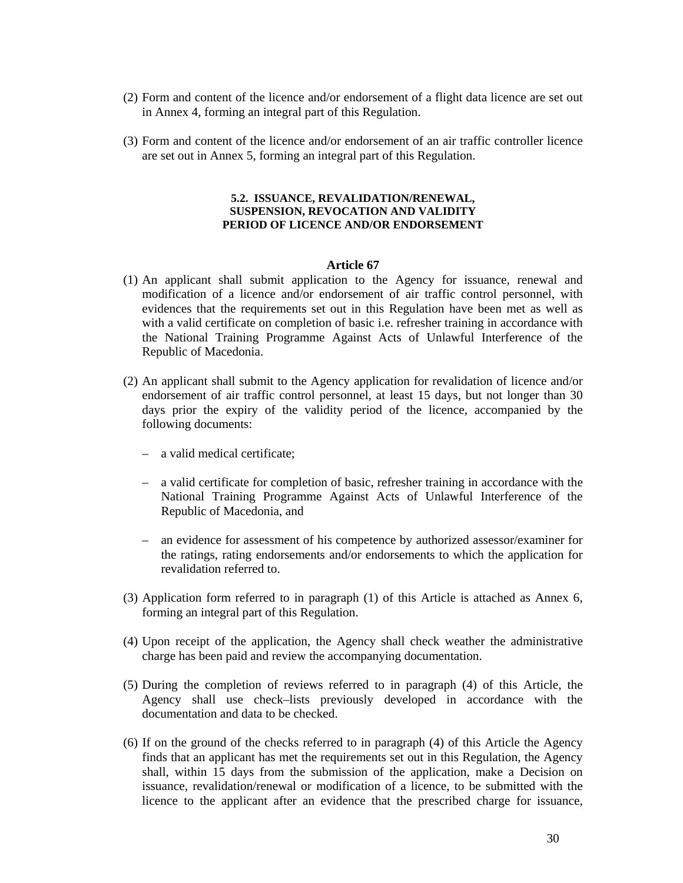- (2) Form and content of the licence and/or endorsement of a flight data licence are set out in Annex 4, forming an integral part of this Regulation.
- (3) Form and content of the licence and/or endorsement of an air traffic controller licence are set out in Annex 5, forming an integral part of this Regulation.

### **5.2. ISSUANCE, REVALIDATION/RENEWAL, SUSPENSION, REVOCATION AND VALIDITY PERIOD OF LICENCE AND/OR ENDORSEMENT**

- (1) An applicant shall submit application to the Agency for issuance, renewal and modification of a licence and/or endorsement of air traffic control personnel, with evidences that the requirements set out in this Regulation have been met as well as with a valid certificate on completion of basic i.e. refresher training in accordance with the National Training Programme Against Acts of Unlawful Interference of the Republic of Macedonia.
- (2) An applicant shall submit to the Agency application for revalidation of licence and/or endorsement of air traffic control personnel, at least 15 days, but not longer than 30 days prior the expiry of the validity period of the licence, accompanied by the following documents:
	- a valid medical certificate;
	- a valid certificate for completion of basic, refresher training in accordance with the National Training Programme Against Acts of Unlawful Interference of the Republic of Macedonia, and
	- an evidence for assessment of his competence by authorized assessor/examiner for the ratings, rating endorsements and/or endorsements to which the application for revalidation referred to.
- (3) Application form referred to in paragraph (1) of this Article is attached as Annex 6, forming an integral part of this Regulation.
- (4) Upon receipt of the application, the Agency shall check weather the administrative charge has been paid and review the accompanying documentation.
- (5) During the completion of reviews referred to in paragraph (4) of this Article, the Agency shall use check–lists previously developed in accordance with the documentation and data to be checked.
- (6) If on the ground of the checks referred to in paragraph (4) of this Article the Agency finds that an applicant has met the requirements set out in this Regulation, the Agency shall, within 15 days from the submission of the application, make a Decision on issuance, revalidation/renewal or modification of a licence, to be submitted with the licence to the applicant after an evidence that the prescribed charge for issuance,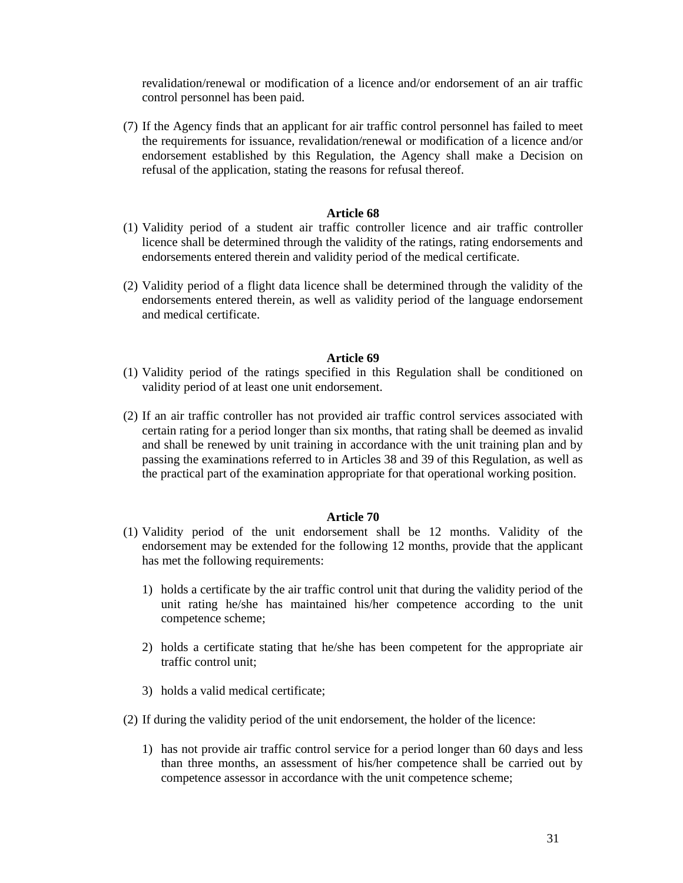revalidation/renewal or modification of a licence and/or endorsement of an air traffic control personnel has been paid.

(7) If the Agency finds that an applicant for air traffic control personnel has failed to meet the requirements for issuance, revalidation/renewal or modification of a licence and/or endorsement established by this Regulation, the Agency shall make a Decision on refusal of the application, stating the reasons for refusal thereof.

## **Article 68**

- (1) Validity period of a student air traffic controller licence and air traffic controller licence shall be determined through the validity of the ratings, rating endorsements and endorsements entered therein and validity period of the medical certificate.
- (2) Validity period of a flight data licence shall be determined through the validity of the endorsements entered therein, as well as validity period of the language endorsement and medical certificate.

## **Article 69**

- (1) Validity period of the ratings specified in this Regulation shall be conditioned on validity period of at least one unit endorsement.
- (2) If an air traffic controller has not provided air traffic control services associated with certain rating for a period longer than six months, that rating shall be deemed as invalid and shall be renewed by unit training in accordance with the unit training plan and by passing the examinations referred to in Articles 38 and 39 of this Regulation, as well as the practical part of the examination appropriate for that operational working position.

- (1) Validity period of the unit endorsement shall be 12 months. Validity of the endorsement may be extended for the following 12 months, provide that the applicant has met the following requirements:
	- 1) holds a certificate by the air traffic control unit that during the validity period of the unit rating he/she has maintained his/her competence according to the unit competence scheme;
	- 2) holds a certificate stating that he/she has been competent for the appropriate air traffic control unit;
	- 3) holds a valid medical certificate;
- (2) If during the validity period of the unit endorsement, the holder of the licence:
	- 1) has not provide air traffic control service for a period longer than 60 days and less than three months, an assessment of his/her competence shall be carried out by competence assessor in accordance with the unit competence scheme;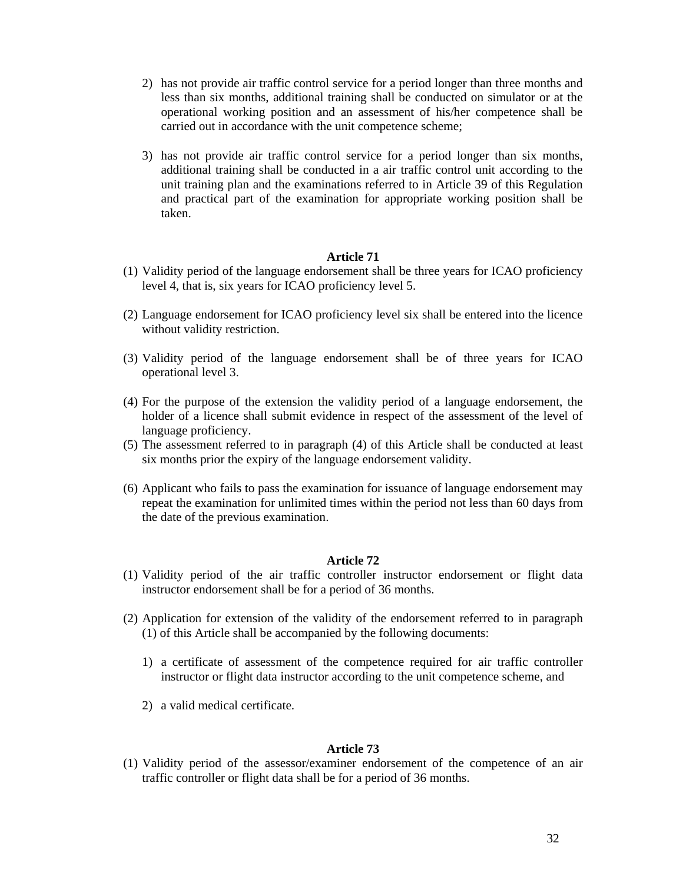- 2) has not provide air traffic control service for a period longer than three months and less than six months, additional training shall be conducted on simulator or at the operational working position and an assessment of his/her competence shall be carried out in accordance with the unit competence scheme;
- 3) has not provide air traffic control service for a period longer than six months, additional training shall be conducted in a air traffic control unit according to the unit training plan and the examinations referred to in Article 39 of this Regulation and practical part of the examination for appropriate working position shall be taken.

- (1) Validity period of the language endorsement shall be three years for ICAO proficiency level 4, that is, six years for ICAO proficiency level 5.
- (2) Language endorsement for ICAO proficiency level six shall be entered into the licence without validity restriction.
- (3) Validity period of the language endorsement shall be of three years for ICAO operational level 3.
- (4) For the purpose of the extension the validity period of a language endorsement, the holder of a licence shall submit evidence in respect of the assessment of the level of language proficiency.
- (5) The assessment referred to in paragraph (4) of this Article shall be conducted at least six months prior the expiry of the language endorsement validity.
- (6) Applicant who fails to pass the examination for issuance of language endorsement may repeat the examination for unlimited times within the period not less than 60 days from the date of the previous examination.

### **Article 72**

- (1) Validity period of the air traffic controller instructor endorsement or flight data instructor endorsement shall be for a period of 36 months.
- (2) Application for extension of the validity of the endorsement referred to in paragraph (1) of this Article shall be accompanied by the following documents:
	- 1) a certificate of assessment of the competence required for air traffic controller instructor or flight data instructor according to the unit competence scheme, and
	- 2) a valid medical certificate.

#### **Article 73**

(1) Validity period of the assessor/examiner endorsement of the competence of an air traffic controller or flight data shall be for a period of 36 months.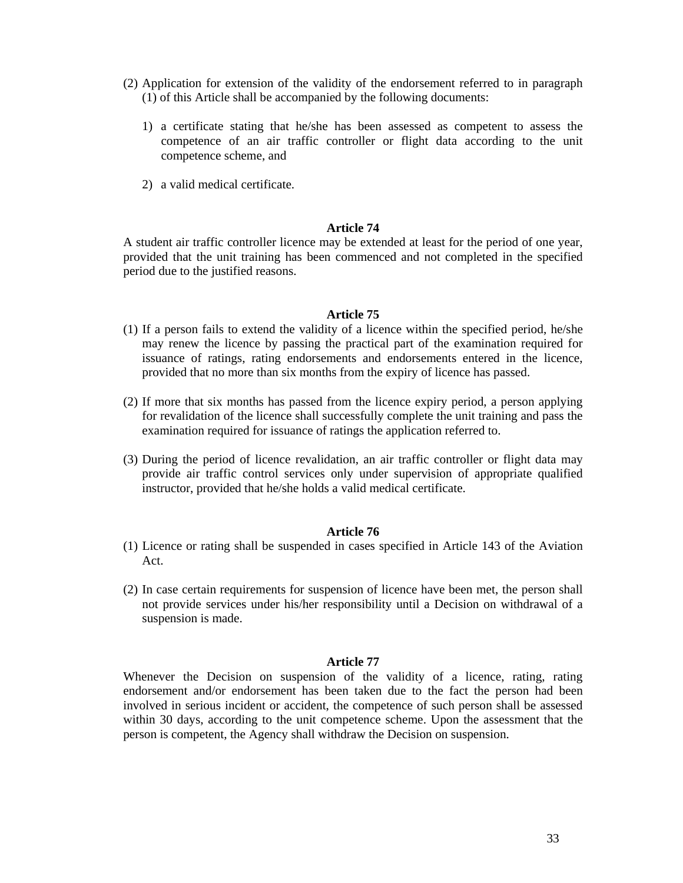- (2) Application for extension of the validity of the endorsement referred to in paragraph (1) of this Article shall be accompanied by the following documents:
	- 1) a certificate stating that he/she has been assessed as competent to assess the competence of an air traffic controller or flight data according to the unit competence scheme, and
	- 2) a valid medical certificate.

A student air traffic controller licence may be extended at least for the period of one year, provided that the unit training has been commenced and not completed in the specified period due to the justified reasons.

### **Article 75**

- (1) If a person fails to extend the validity of a licence within the specified period, he/she may renew the licence by passing the practical part of the examination required for issuance of ratings, rating endorsements and endorsements entered in the licence, provided that no more than six months from the expiry of licence has passed.
- (2) If more that six months has passed from the licence expiry period, a person applying for revalidation of the licence shall successfully complete the unit training and pass the examination required for issuance of ratings the application referred to.
- (3) During the period of licence revalidation, an air traffic controller or flight data may provide air traffic control services only under supervision of appropriate qualified instructor, provided that he/she holds a valid medical certificate.

### **Article 76**

- (1) Licence or rating shall be suspended in cases specified in Article 143 of the Aviation Act.
- (2) In case certain requirements for suspension of licence have been met, the person shall not provide services under his/her responsibility until a Decision on withdrawal of a suspension is made.

#### **Article 77**

Whenever the Decision on suspension of the validity of a licence, rating, rating endorsement and/or endorsement has been taken due to the fact the person had been involved in serious incident or accident, the competence of such person shall be assessed within 30 days, according to the unit competence scheme. Upon the assessment that the person is competent, the Agency shall withdraw the Decision on suspension.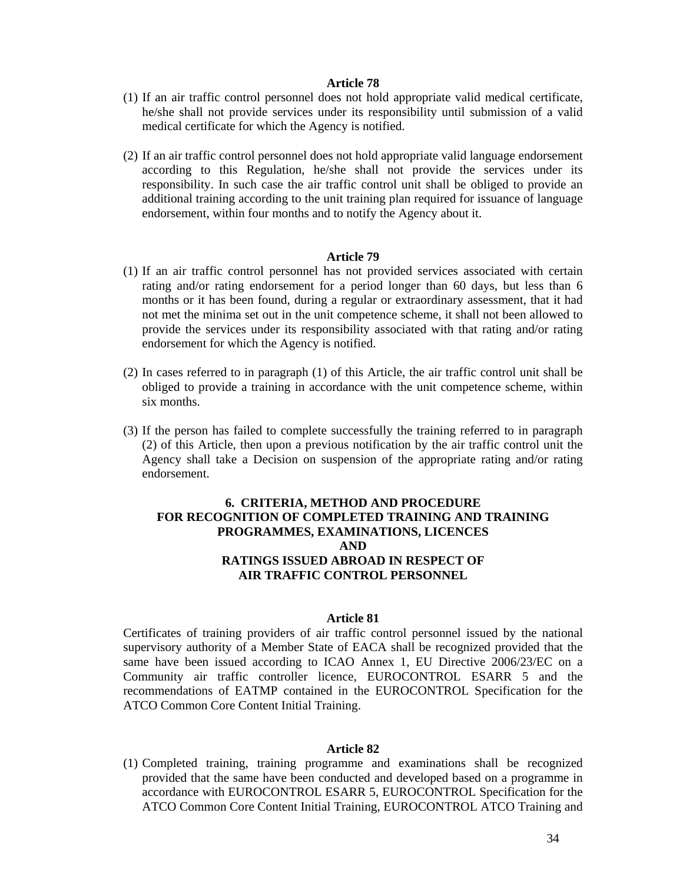- (1) If an air traffic control personnel does not hold appropriate valid medical certificate, he/she shall not provide services under its responsibility until submission of a valid medical certificate for which the Agency is notified.
- (2) If an air traffic control personnel does not hold appropriate valid language endorsement according to this Regulation, he/she shall not provide the services under its responsibility. In such case the air traffic control unit shall be obliged to provide an additional training according to the unit training plan required for issuance of language endorsement, within four months and to notify the Agency about it.

#### **Article 79**

- (1) If an air traffic control personnel has not provided services associated with certain rating and/or rating endorsement for a period longer than 60 days, but less than 6 months or it has been found, during a regular or extraordinary assessment, that it had not met the minima set out in the unit competence scheme, it shall not been allowed to provide the services under its responsibility associated with that rating and/or rating endorsement for which the Agency is notified.
- (2) In cases referred to in paragraph (1) of this Article, the air traffic control unit shall be obliged to provide a training in accordance with the unit competence scheme, within six months.
- (3) If the person has failed to complete successfully the training referred to in paragraph (2) of this Article, then upon a previous notification by the air traffic control unit the Agency shall take a Decision on suspension of the appropriate rating and/or rating endorsement.

# **6. CRITERIA, METHOD AND PROCEDURE FOR RECOGNITION OF COMPLETED TRAINING AND TRAINING PROGRAMMES, EXAMINATIONS, LICENCES AND RATINGS ISSUED ABROAD IN RESPECT OF AIR TRAFFIC CONTROL PERSONNEL**

### **Article 81**

Certificates of training providers of air traffic control personnel issued by the national supervisory authority of a Member State of EACA shall be recognized provided that the same have been issued according to ICAO Annex 1, EU Directive 2006/23/EC on a Community air traffic controller licence, EUROCONTROL ESARR 5 and the recommendations of EATMP contained in the EUROCONTROL Specification for the ATCO Common Core Content Initial Training.

## **Article 82**

(1) Completed training, training programme and examinations shall be recognized provided that the same have been conducted and developed based on a programme in accordance with EUROCONTROL ESARR 5, EUROCONTROL Specification for the ATCO Common Core Content Initial Training, EUROCONTROL ATCO Training and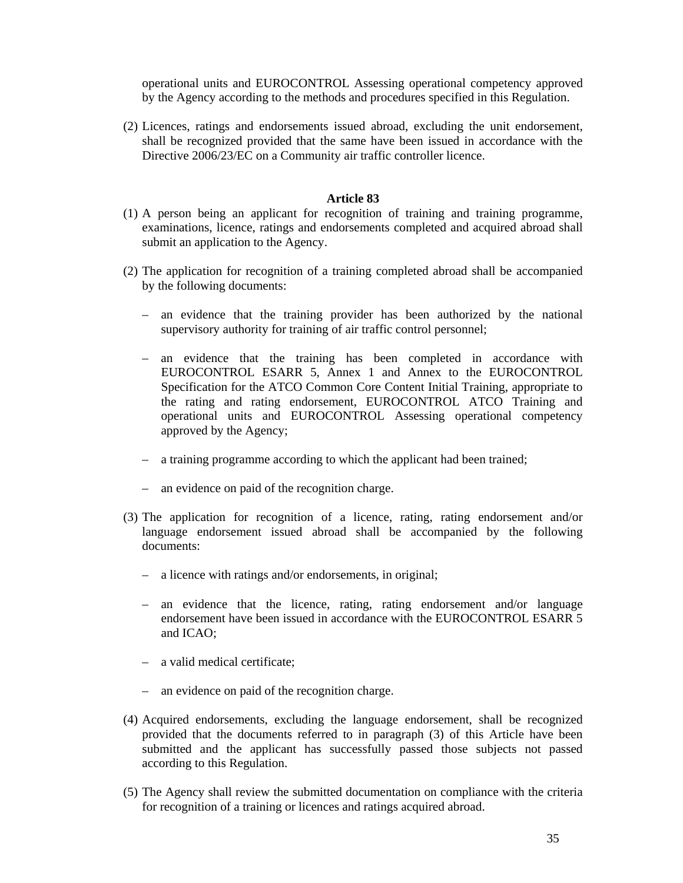operational units and EUROCONTROL Assessing operational competency approved by the Agency according to the methods and procedures specified in this Regulation.

(2) Licences, ratings and endorsements issued abroad, excluding the unit endorsement, shall be recognized provided that the same have been issued in accordance with the Directive 2006/23/EC on a Community air traffic controller licence.

- (1) A person being an applicant for recognition of training and training programme, examinations, licence, ratings and endorsements completed and acquired abroad shall submit an application to the Agency.
- (2) The application for recognition of a training completed abroad shall be accompanied by the following documents:
	- an evidence that the training provider has been authorized by the national supervisory authority for training of air traffic control personnel;
	- an evidence that the training has been completed in accordance with EUROCONTROL ESARR 5, Annex 1 and Annex to the EUROCONTROL Specification for the ATCO Common Core Content Initial Training, appropriate to the rating and rating endorsement, EUROCONTROL ATCO Training and operational units and EUROCONTROL Assessing operational competency approved by the Agency;
	- a training programme according to which the applicant had been trained;
	- an evidence on paid of the recognition charge.
- (3) The application for recognition of a licence, rating, rating endorsement and/or language endorsement issued abroad shall be accompanied by the following documents:
	- a licence with ratings and/or endorsements, in original;
	- an evidence that the licence, rating, rating endorsement and/or language endorsement have been issued in accordance with the EUROCONTROL ESARR 5 and ICAO;
	- a valid medical certificate;
	- an evidence on paid of the recognition charge.
- (4) Acquired endorsements, excluding the language endorsement, shall be recognized provided that the documents referred to in paragraph (3) of this Article have been submitted and the applicant has successfully passed those subjects not passed according to this Regulation.
- (5) The Agency shall review the submitted documentation on compliance with the criteria for recognition of a training or licences and ratings acquired abroad.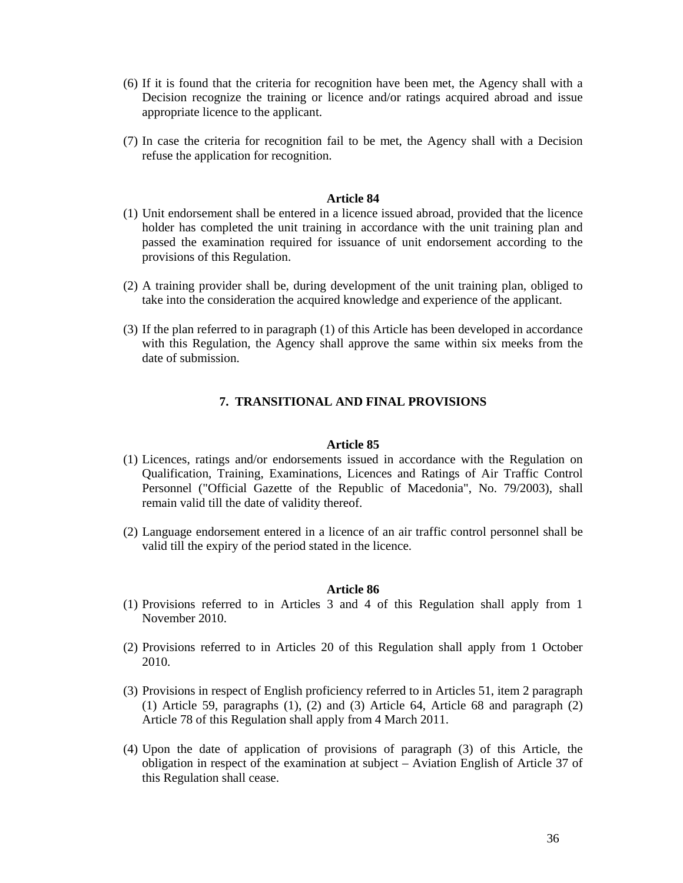- (6) If it is found that the criteria for recognition have been met, the Agency shall with a Decision recognize the training or licence and/or ratings acquired abroad and issue appropriate licence to the applicant.
- (7) In case the criteria for recognition fail to be met, the Agency shall with a Decision refuse the application for recognition.

- (1) Unit endorsement shall be entered in a licence issued abroad, provided that the licence holder has completed the unit training in accordance with the unit training plan and passed the examination required for issuance of unit endorsement according to the provisions of this Regulation.
- (2) A training provider shall be, during development of the unit training plan, obliged to take into the consideration the acquired knowledge and experience of the applicant.
- (3) If the plan referred to in paragraph (1) of this Article has been developed in accordance with this Regulation, the Agency shall approve the same within six meeks from the date of submission.

# **7. TRANSITIONAL AND FINAL PROVISIONS**

#### **Article 85**

- (1) Licences, ratings and/or endorsements issued in accordance with the Regulation on Qualification, Training, Examinations, Licences and Ratings of Air Traffic Control Personnel ("Official Gazette of the Republic of Macedonia", No. 79/2003), shall remain valid till the date of validity thereof.
- (2) Language endorsement entered in a licence of an air traffic control personnel shall be valid till the expiry of the period stated in the licence.

- (1) Provisions referred to in Articles 3 and 4 of this Regulation shall apply from 1 November 2010.
- (2) Provisions referred to in Articles 20 of this Regulation shall apply from 1 October 2010.
- (3) Provisions in respect of English proficiency referred to in Articles 51, item 2 paragraph (1) Article 59, paragraphs (1), (2) and (3) Article 64, Article 68 and paragraph (2) Article 78 of this Regulation shall apply from 4 March 2011.
- (4) Upon the date of application of provisions of paragraph (3) of this Article, the obligation in respect of the examination at subject – Aviation English of Article 37 of this Regulation shall cease.